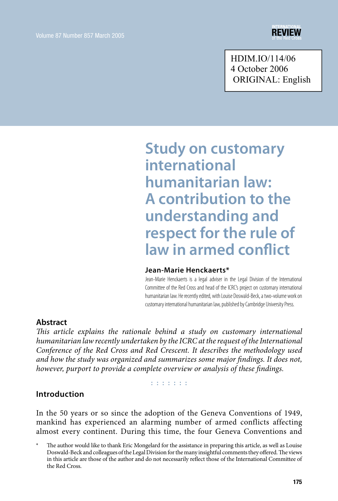ОБСЕ по человеческому измерению и говорил о многочисленных нарушениях прав



HDIM.IO/114/06 4 October 2006 ORIGINAL: English

# **Study on customary Study on Study on Type 2018** *international* **international humanitarian law: A contribution to the Understanding and understanding** *<u>respect for the rule of</u>* **law in armed conflict** хоть сколько-нибудь изменилась в лицентрально-нибудь изменилась в лицентрально-

#### **Jean-Marie Henckaerts\*** корреспондентов Радио Свобода, путем физического насилия заставляя их

Jean-Marie Henckaerts is a legal adviser in the Legal Division of the International Committee of the Red Cross and head of the ICRC's project on customary international humanitarian law. He recently edited, with Louise Doswald-Beck, a two-volume work on customary international humanitarian law, published by Cambridge University Press.

#### **Abstract**  $\mathbf{A}$  Instruction and  $\mathbf{A}$

*This article explains the rationale behind a study on customary international humanitarian law recently undertaken by the ICRC at the request of the International humanitarian law recently undertaken by the ICRC at the request of the International* Conference of the Red Cross and Red Crescent. It describes the methodology used and how the study was organized and summarizes some major findings. It does not, however, purport to provide a complete overview or analysis of these findings.

**: : : : : : :**

#### **Introduction** По-прежнему нет никаких сведений о местонахождении и состоянии здоровья

In the 50 years or so since the adoption of the Geneva Conventions of 1949, mankind has experienced an alarming number of armed conflicts affecting almost every continent. During this time, the four Geneva Conventions and

The author would like to thank Eric Mongelard for the assistance in preparing this article, as well as Louise Doswald-Beck and colleagues of the Legal Division for the many insightful comments they offered. The views<br>in this article are those of the surhan and do not possessibly reflect these of the International Committee of in this article are those of the author and do not necessarily reflect those of the International Committee of<br>the Red Cross. the Red Cross.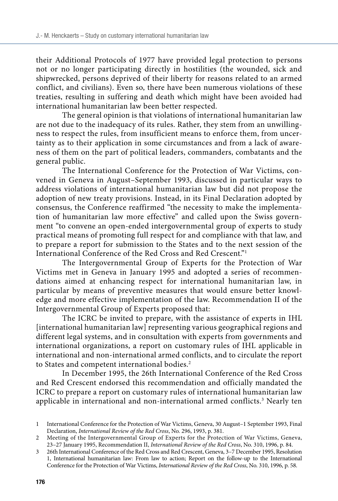their Additional Protocols of 1977 have provided legal protection to persons not or no longer participating directly in hostilities (the wounded, sick and shipwrecked, persons deprived of their liberty for reasons related to an armed conflict, and civilians). Even so, there have been numerous violations of these treaties, resulting in suffering and death which might have been avoided had international humanitarian law been better respected.

The general opinion is that violations of international humanitarian law are not due to the inadequacy of its rules. Rather, they stem from an unwillingness to respect the rules, from insufficient means to enforce them, from uncertainty as to their application in some circumstances and from a lack of awareness of them on the part of political leaders, commanders, combatants and the general public.

The International Conference for the Protection of War Victims, convened in Geneva in August–September 1993, discussed in particular ways to address violations of international humanitarian law but did not propose the adoption of new treaty provisions. Instead, in its Final Declaration adopted by consensus, the Conference reaffirmed "the necessity to make the implementation of humanitarian law more effective" and called upon the Swiss government "to convene an open-ended intergovernmental group of experts to study practical means of promoting full respect for and compliance with that law, and to prepare a report for submission to the States and to the next session of the International Conference of the Red Cross and Red Crescent."1

The Intergovernmental Group of Experts for the Protection of War Victims met in Geneva in January 1995 and adopted a series of recommendations aimed at enhancing respect for international humanitarian law, in particular by means of preventive measures that would ensure better knowledge and more effective implementation of the law. Recommendation II of the Intergovernmental Group of Experts proposed that:

The ICRC be invited to prepare, with the assistance of experts in IHL [international humanitarian law] representing various geographical regions and different legal systems, and in consultation with experts from governments and international organizations, a report on customary rules of IHL applicable in international and non-international armed conflicts, and to circulate the report to States and competent international bodies.<sup>2</sup>

In December 1995, the 26th International Conference of the Red Cross and Red Crescent endorsed this recommendation and officially mandated the ICRC to prepare a report on customary rules of international humanitarian law applicable in international and non-international armed conflicts.3 Nearly ten

<sup>1</sup> International Conference for the Protection of War Victims, Geneva, 30 August–1 September 1993, Final Declaration, *International Review of the Red Cross*, No. 296, 1993, p. 381.

<sup>2</sup> Meeting of the Intergovernmental Group of Experts for the Protection of War Victims, Geneva, 23–27 January 1995, Recommendation II, *International Review of the Red Cross*, No. 310, 1996, p. 84.

<sup>3 26</sup>th International Conference of the Red Cross and Red Crescent, Geneva, 3–7 December 1995, Resolution 1, International humanitarian law: From law to action; Report on the follow-up to the International Conference for the Protection of War Victims, *International Review of the Red Cross*, No. 310, 1996, p. 58.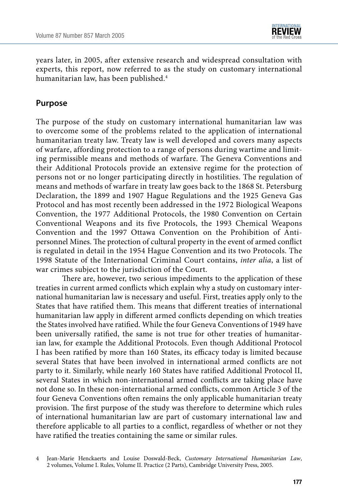

years later, in 2005, after extensive research and widespread consultation with experts, this report, now referred to as the study on customary international humanitarian law, has been published.<sup>4</sup>

### **Purpose**

The purpose of the study on customary international humanitarian law was to overcome some of the problems related to the application of international humanitarian treaty law. Treaty law is well developed and covers many aspects of warfare, affording protection to a range of persons during wartime and limiting permissible means and methods of warfare. The Geneva Conventions and their Additional Protocols provide an extensive regime for the protection of persons not or no longer participating directly in hostilities. The regulation of means and methods of warfare in treaty law goes back to the 1868 St. Petersburg Declaration, the 1899 and 1907 Hague Regulations and the 1925 Geneva Gas Protocol and has most recently been addressed in the 1972 Biological Weapons Convention, the 1977 Additional Protocols, the 1980 Convention on Certain Conventional Weapons and its five Protocols, the 1993 Chemical Weapons Convention and the 1997 Ottawa Convention on the Prohibition of Antipersonnel Mines. The protection of cultural property in the event of armed conflict is regulated in detail in the 1954 Hague Convention and its two Protocols. The 1998 Statute of the International Criminal Court contains, *inter alia*, a list of war crimes subject to the jurisdiction of the Court.

There are, however, two serious impediments to the application of these treaties in current armed conflicts which explain why a study on customary international humanitarian law is necessary and useful. First, treaties apply only to the States that have ratified them. This means that different treaties of international humanitarian law apply in different armed conflicts depending on which treaties the States involved have ratified. While the four Geneva Conventions of 1949 have been universally ratified, the same is not true for other treaties of humanitarian law, for example the Additional Protocols. Even though Additional Protocol I has been ratified by more than 160 States, its efficacy today is limited because several States that have been involved in international armed conflicts are not party to it. Similarly, while nearly 160 States have ratified Additional Protocol II, several States in which non-international armed conflicts are taking place have not done so. In these non-international armed conflicts, common Article 3 of the four Geneva Conventions often remains the only applicable humanitarian treaty provision. The first purpose of the study was therefore to determine which rules of international humanitarian law are part of customary international law and therefore applicable to all parties to a conflict, regardless of whether or not they have ratified the treaties containing the same or similar rules.

<sup>4</sup> Jean-Marie Henckaerts and Louise Doswald-Beck, *Customary International Humanitarian Law*, 2 volumes, Volume I. Rules, Volume II. Practice (2 Parts), Cambridge University Press, 2005.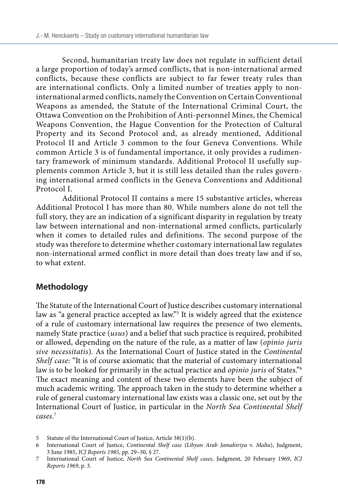Second, humanitarian treaty law does not regulate in sufficient detail a large proportion of today's armed conflicts, that is non-international armed conflicts, because these conflicts are subject to far fewer treaty rules than are international conflicts. Only a limited number of treaties apply to noninternational armed conflicts, namely the Convention on Certain Conventional Weapons as amended, the Statute of the International Criminal Court, the Ottawa Convention on the Prohibition of Anti-personnel Mines, the Chemical Weapons Convention, the Hague Convention for the Protection of Cultural Property and its Second Protocol and, as already mentioned, Additional Protocol II and Article 3 common to the four Geneva Conventions. While common Article 3 is of fundamental importance, it only provides a rudimentary framework of minimum standards. Additional Protocol II usefully supplements common Article 3, but it is still less detailed than the rules governing international armed conflicts in the Geneva Conventions and Additional Protocol I.

Additional Protocol II contains a mere 15 substantive articles, whereas Additional Protocol I has more than 80. While numbers alone do not tell the full story, they are an indication of a significant disparity in regulation by treaty law between international and non-international armed conflicts, particularly when it comes to detailed rules and definitions. The second purpose of the study was therefore to determine whether customary international law regulates non-international armed conflict in more detail than does treaty law and if so, to what extent.

# **Methodology**

The Statute of the International Court of Justice describes customary international law as "a general practice accepted as law."5 It is widely agreed that the existence of a rule of customary international law requires the presence of two elements, namely State practice (*usus*) and a belief that such practice is required, prohibited or allowed, depending on the nature of the rule, as a matter of law (*opinio juris sive necessitatis*). As the International Court of Justice stated in the *Continental Shelf case*: "It is of course axiomatic that the material of customary international law is to be looked for primarily in the actual practice and *opinio juris* of States."6 The exact meaning and content of these two elements have been the subject of much academic writing. The approach taken in the study to determine whether a rule of general customary international law exists was a classic one, set out by the International Court of Justice, in particular in the *North Sea Continental Shelf cases*. 7

<sup>5</sup> Statute of the International Court of Justice, Article 38(1)(b).

<sup>6</sup> International Court of Justice, *Continental Shelf case (Libyan Arab Jamahiriya* v. *Malta*), Judgment, 3 June 1985, *ICJ Reports 1985*, pp. 29–30, § 27.

<sup>7</sup> International Court of Justice, *North Sea Continental Shelf cases*, Judgment, 20 February 1969, *ICJ Reports 1969*, p. 3.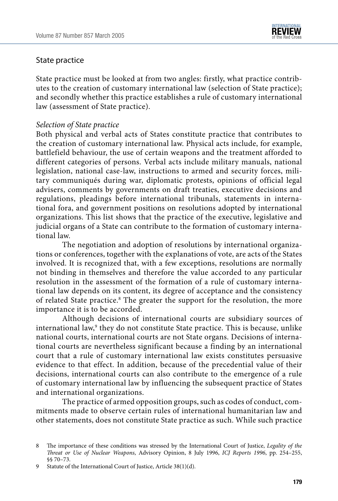

#### State practice

State practice must be looked at from two angles: firstly, what practice contributes to the creation of customary international law (selection of State practice); and secondly whether this practice establishes a rule of customary international law (assessment of State practice).

#### *Selection of State practice*

Both physical and verbal acts of States constitute practice that contributes to the creation of customary international law. Physical acts include, for example, battlefield behaviour, the use of certain weapons and the treatment afforded to different categories of persons. Verbal acts include military manuals, national legislation, national case-law, instructions to armed and security forces, military communiqués during war, diplomatic protests, opinions of official legal advisers, comments by governments on draft treaties, executive decisions and regulations, pleadings before international tribunals, statements in international fora, and government positions on resolutions adopted by international organizations. This list shows that the practice of the executive, legislative and judicial organs of a State can contribute to the formation of customary international law.

The negotiation and adoption of resolutions by international organizations or conferences, together with the explanations of vote, are acts of the States involved. It is recognized that, with a few exceptions, resolutions are normally not binding in themselves and therefore the value accorded to any particular resolution in the assessment of the formation of a rule of customary international law depends on its content, its degree of acceptance and the consistency of related State practice.<sup>8</sup> The greater the support for the resolution, the more importance it is to be accorded.

Although decisions of international courts are subsidiary sources of international law,<sup>9</sup> they do not constitute State practice. This is because, unlike national courts, international courts are not State organs. Decisions of international courts are nevertheless significant because a finding by an international court that a rule of customary international law exists constitutes persuasive evidence to that effect. In addition, because of the precedential value of their decisions, international courts can also contribute to the emergence of a rule of customary international law by influencing the subsequent practice of States and international organizations.

The practice of armed opposition groups, such as codes of conduct, commitments made to observe certain rules of international humanitarian law and other statements, does not constitute State practice as such. While such practice

<sup>8</sup> The importance of these conditions was stressed by the International Court of Justice, *Legality of the Threat or Use of Nuclear Weapons*, Advisory Opinion, 8 July 1996, *ICJ Reports 1996*, pp. 254–255, §§ 70–73.

<sup>9</sup> Statute of the International Court of Justice, Article 38(1)(d).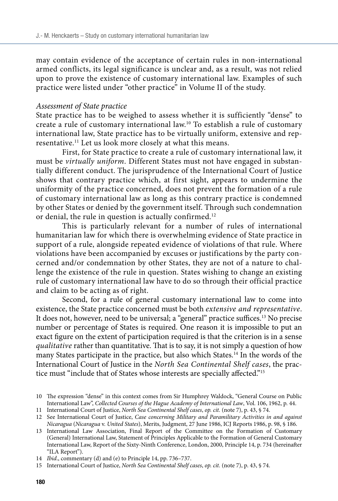may contain evidence of the acceptance of certain rules in non-international armed conflicts, its legal significance is unclear and, as a result, was not relied upon to prove the existence of customary international law. Examples of such practice were listed under "other practice" in Volume II of the study.

#### *Assessment of State practice*

State practice has to be weighed to assess whether it is sufficiently "dense" to create a rule of customary international law.10 To establish a rule of customary international law, State practice has to be virtually uniform, extensive and representative.11 Let us look more closely at what this means.

First, for State practice to create a rule of customary international law, it must be *virtually uniform*. Different States must not have engaged in substantially different conduct. The jurisprudence of the International Court of Justice shows that contrary practice which, at first sight, appears to undermine the uniformity of the practice concerned, does not prevent the formation of a rule of customary international law as long as this contrary practice is condemned by other States or denied by the government itself. Through such condemnation or denial, the rule in question is actually confirmed.12

This is particularly relevant for a number of rules of international humanitarian law for which there is overwhelming evidence of State practice in support of a rule, alongside repeated evidence of violations of that rule. Where violations have been accompanied by excuses or justifications by the party concerned and/or condemnation by other States, they are not of a nature to challenge the existence of the rule in question. States wishing to change an existing rule of customary international law have to do so through their official practice and claim to be acting as of right.

Second, for a rule of general customary international law to come into existence, the State practice concerned must be both *extensive and representative*. It does not, however, need to be universal; a "general" practice suffices.13 No precise number or percentage of States is required. One reason it is impossible to put an exact figure on the extent of participation required is that the criterion is in a sense *qualitative* rather than quantitative. That is to say, it is not simply a question of how many States participate in the practice, but also which States.<sup>14</sup> In the words of the International Court of Justice in the *North Sea Continental Shelf cases*, the practice must "include that of States whose interests are specially affected."15

<sup>10</sup> The expression "dense" in this context comes from Sir Humphrey Waldock, "General Course on Public International Law", *Collected Courses of the Hague Academy of International Law*, Vol. 106, 1962, p. 44.

<sup>11</sup> International Court of Justice, *North Sea Continental Shelf cases*, *op. cit.* (note 7), p. 43, § 74.

<sup>12</sup> See International Court of Justice, *Case concerning Military and Paramilitary Activities in and against Nicaragua* (*Nicaragua* v. *United States*), Merits, Judgment, 27 June 1986, ICJ Reports 1986, p. 98, § 186.

<sup>13</sup> International Law Association, Final Report of the Committee on the Formation of Customary (General) International Law, Statement of Principles Applicable to the Formation of General Customary International Law, Report of the Sixty-Ninth Conference, London, 2000, Principle 14, p. 734 (hereinafter "ILA Report").

<sup>14</sup> *Ibid*., commentary (d) and (e) to Principle 14, pp. 736–737.

<sup>15</sup> International Court of Justice, *North Sea Continental Shelf cases*, *op. cit.* (note 7), p. 43, § 74.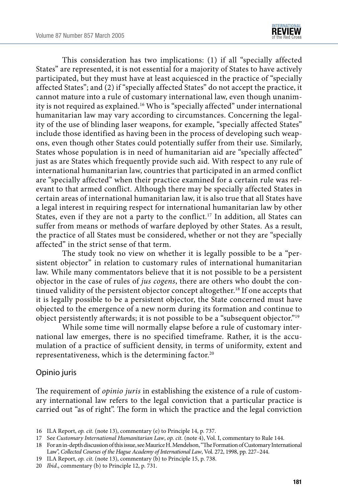

This consideration has two implications: (1) if all "specially affected States" are represented, it is not essential for a majority of States to have actively participated, but they must have at least acquiesced in the practice of "specially affected States"; and (2) if "specially affected States" do not accept the practice, it cannot mature into a rule of customary international law, even though unanimity is not required as explained.<sup>16</sup> Who is "specially affected" under international humanitarian law may vary according to circumstances. Concerning the legality of the use of blinding laser weapons, for example, "specially affected States" include those identified as having been in the process of developing such weapons, even though other States could potentially suffer from their use. Similarly, States whose population is in need of humanitarian aid are "specially affected" just as are States which frequently provide such aid. With respect to any rule of international humanitarian law, countries that participated in an armed conflict are "specially affected" when their practice examined for a certain rule was relevant to that armed conflict. Although there may be specially affected States in certain areas of international humanitarian law, it is also true that all States have a legal interest in requiring respect for international humanitarian law by other States, even if they are not a party to the conflict.<sup>17</sup> In addition, all States can suffer from means or methods of warfare deployed by other States. As a result, the practice of all States must be considered, whether or not they are "specially affected" in the strict sense of that term.

The study took no view on whether it is legally possible to be a "persistent objector" in relation to customary rules of international humanitarian law. While many commentators believe that it is not possible to be a persistent objector in the case of rules of *jus cogens*, there are others who doubt the continued validity of the persistent objector concept altogether.<sup>18</sup> If one accepts that it is legally possible to be a persistent objector, the State concerned must have objected to the emergence of a new norm during its formation and continue to object persistently afterwards; it is not possible to be a "subsequent objector."19

While some time will normally elapse before a rule of customary international law emerges, there is no specified timeframe. Rather, it is the accumulation of a practice of sufficient density, in terms of uniformity, extent and representativeness, which is the determining factor.20

#### Opinio juris

The requirement of *opinio juris* in establishing the existence of a rule of customary international law refers to the legal conviction that a particular practice is carried out "as of right". The form in which the practice and the legal conviction

18 For an in-depth discussion of this issue, see Maurice H. Mendelson, "The Formation of Customary International Law", *Collected Courses of the Hague Academy of International Law*, Vol. 272, 1998, pp. 227–244.

<sup>16</sup> ILA Report, *op. cit.* (note 13), commentary (e) to Principle 14, p. 737.

<sup>17</sup> See *Customary International Humanitarian Law*, *op. cit.* (note 4), Vol. I, commentary to Rule 144.

<sup>19</sup> ILA Report, *op. cit.* (note 13), commentary (b) to Principle 15, p. 738.

<sup>20</sup> *Ibid*., commentary (b) to Principle 12, p. 731.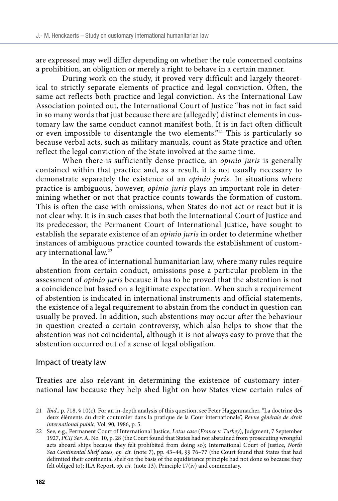are expressed may well differ depending on whether the rule concerned contains a prohibition, an obligation or merely a right to behave in a certain manner.

During work on the study, it proved very difficult and largely theoretical to strictly separate elements of practice and legal conviction. Often, the same act reflects both practice and legal conviction. As the International Law Association pointed out, the International Court of Justice "has not in fact said in so many words that just because there are (allegedly) distinct elements in customary law the same conduct cannot manifest both. It is in fact often difficult or even impossible to disentangle the two elements."<sup>21</sup> This is particularly so because verbal acts, such as military manuals, count as State practice and often reflect the legal conviction of the State involved at the same time.

When there is sufficiently dense practice, an *opinio juris* is generally contained within that practice and, as a result, it is not usually necessary to demonstrate separately the existence of an *opinio juris*. In situations where practice is ambiguous, however, *opinio juris* plays an important role in determining whether or not that practice counts towards the formation of custom. This is often the case with omissions, when States do not act or react but it is not clear why. It is in such cases that both the International Court of Justice and its predecessor, the Permanent Court of International Justice, have sought to establish the separate existence of an *opinio juris* in order to determine whether instances of ambiguous practice counted towards the establishment of customary international law.22

In the area of international humanitarian law, where many rules require abstention from certain conduct, omissions pose a particular problem in the assessment of *opinio juris* because it has to be proved that the abstention is not a coincidence but based on a legitimate expectation. When such a requirement of abstention is indicated in international instruments and official statements, the existence of a legal requirement to abstain from the conduct in question can usually be proved. In addition, such abstentions may occur after the behaviour in question created a certain controversy, which also helps to show that the abstention was not coincidental, although it is not always easy to prove that the abstention occurred out of a sense of legal obligation.

#### Impact of treaty law

Treaties are also relevant in determining the existence of customary international law because they help shed light on how States view certain rules of

<sup>21</sup> *Ibid*., p. 718, § 10(c). For an in-depth analysis of this question, see Peter Haggenmacher, "La doctrine des deux éléments du droit coutumier dans la pratique de la Cour internationale", *Revue générale de droit international public*, Vol. 90, 1986, p. 5.

<sup>22</sup> See, e.g., Permanent Court of International Justice, *Lotus case* (*France* v. *Turkey*), Judgment, 7 September 1927, *PCIJ Ser*. A, No. 10, p. 28 (the Court found that States had not abstained from prosecuting wrongful acts aboard ships because they felt prohibited from doing so); International Court of Justice, *North Sea Continental Shelf cases, op. cit.* (note 7), pp. 43–44, §§ 76–77 (the Court found that States that had delimited their continental shelf on the basis of the equidistance principle had not done so because they felt obliged to); ILA Report, *op. cit.* (note 13), Principle 17(iv) and commentary.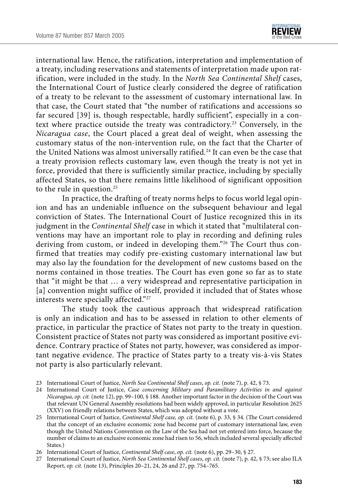

international law. Hence, the ratification, interpretation and implementation of a treaty, including reservations and statements of interpretation made upon ratification, were included in the study. In the *North Sea Continental Shelf* cases, the International Court of Justice clearly considered the degree of ratification of a treaty to be relevant to the assessment of customary international law. In that case, the Court stated that "the number of ratifications and accessions so far secured [39] is, though respectable, hardly sufficient", especially in a context where practice outside the treaty was contradictory.23 Conversely, in the *Nicaragua case*, the Court placed a great deal of weight, when assessing the customary status of the non-intervention rule, on the fact that the Charter of the United Nations was almost universally ratified.<sup>24</sup> It can even be the case that a treaty provision reflects customary law, even though the treaty is not yet in force, provided that there is sufficiently similar practice, including by specially affected States, so that there remains little likelihood of significant opposition to the rule in question.<sup>25</sup>

In practice, the drafting of treaty norms helps to focus world legal opinion and has an undeniable influence on the subsequent behaviour and legal conviction of States. The International Court of Justice recognized this in its judgment in the *Continental Shelf* case in which it stated that "multilateral conventions may have an important role to play in recording and defining rules deriving from custom, or indeed in developing them."26 The Court thus confirmed that treaties may codify pre-existing customary international law but may also lay the foundation for the development of new customs based on the norms contained in those treaties. The Court has even gone so far as to state that "it might be that … a very widespread and representative participation in [a] convention might suffice of itself, provided it included that of States whose interests were specially affected."27

The study took the cautious approach that widespread ratification is only an indication and has to be assessed in relation to other elements of practice, in particular the practice of States not party to the treaty in question. Consistent practice of States not party was considered as important positive evidence. Contrary practice of States not party, however, was considered as important negative evidence. The practice of States party to a treaty vis-à-vis States not party is also particularly relevant.

- 23 International Court of Justice, *North Sea Continental Shelf cases*, *op. cit.* (note 7), p. 42, § 73.
- 24 International Court of Justice, *Case concerning Military and Paramilitary Activities in and against Nicaragua, op. cit.* (note 12), pp. 99–100, § 188. Another important factor in the decision of the Court was that relevant UN General Assembly resolutions had been widely approved, in particular Resolution 2625 (XXV) on friendly relations between States, which was adopted without a vote.

25 International Court of Justice, *Continental Shelf case, op. cit.* (note 6), p. 33, § 34. (The Court considered that the concept of an exclusive economic zone had become part of customary international law, even though the United Nations Convention on the Law of the Sea had not yet entered into force, because the number of claims to an exclusive economic zone had risen to 56, which included several specially affected States.)

- 26 International Court of Justice, *Continental Shelf case*, *op. cit.* (note 6), pp. 29–30, § 27.
- 27 International Court of Justice, *North Sea Continental Shelf cases*, *op. cit.* (note 7), p. 42, § 73; see also ILA Report, *op. cit.* (note 13), Principles 20–21, 24, 26 and 27, pp. 754–765.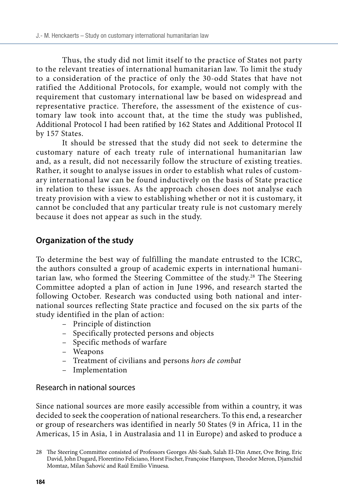Thus, the study did not limit itself to the practice of States not party to the relevant treaties of international humanitarian law. To limit the study to a consideration of the practice of only the 30-odd States that have not ratified the Additional Protocols, for example, would not comply with the requirement that customary international law be based on widespread and representative practice. Therefore, the assessment of the existence of customary law took into account that, at the time the study was published, Additional Protocol I had been ratified by 162 States and Additional Protocol II by 157 States.

It should be stressed that the study did not seek to determine the customary nature of each treaty rule of international humanitarian law and, as a result, did not necessarily follow the structure of existing treaties. Rather, it sought to analyse issues in order to establish what rules of customary international law can be found inductively on the basis of State practice in relation to these issues. As the approach chosen does not analyse each treaty provision with a view to establishing whether or not it is customary, it cannot be concluded that any particular treaty rule is not customary merely because it does not appear as such in the study.

# **Organization of the study**

To determine the best way of fulfilling the mandate entrusted to the ICRC, the authors consulted a group of academic experts in international humanitarian law, who formed the Steering Committee of the study.<sup>28</sup> The Steering Committee adopted a plan of action in June 1996, and research started the following October. Research was conducted using both national and international sources reflecting State practice and focused on the six parts of the study identified in the plan of action:

- Principle of distinction
- Specifically protected persons and objects
- Specific methods of warfare
- Weapons
- Treatment of civilians and persons *hors de combat*
- Implementation

### Research in national sources

Since national sources are more easily accessible from within a country, it was decided to seek the cooperation of national researchers. To this end, a researcher or group of researchers was identified in nearly 50 States (9 in Africa, 11 in the Americas, 15 in Asia, 1 in Australasia and 11 in Europe) and asked to produce a

<sup>28</sup> The Steering Committee consisted of Professors Georges Abi-Saab, Salah El-Din Amer, Ove Bring, Eric David, John Dugard, Florentino Feliciano, Horst Fischer, Françoise Hampson, Theodor Meron, Djamchid Momtaz, Milan Šahović and Raúl Emilio Vinuesa.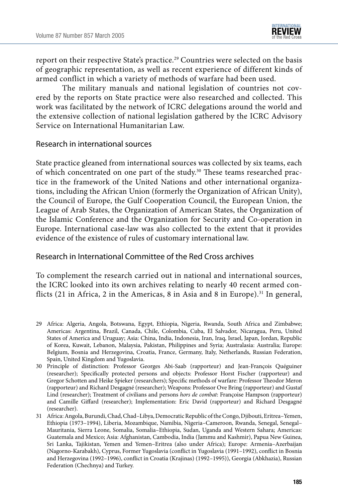

report on their respective State's practice.<sup>29</sup> Countries were selected on the basis of geographic representation, as well as recent experience of different kinds of armed conflict in which a variety of methods of warfare had been used.

The military manuals and national legislation of countries not covered by the reports on State practice were also researched and collected. This work was facilitated by the network of ICRC delegations around the world and the extensive collection of national legislation gathered by the ICRC Advisory Service on International Humanitarian Law.

#### Research in international sources

State practice gleaned from international sources was collected by six teams, each of which concentrated on one part of the study.30 These teams researched practice in the framework of the United Nations and other international organizations, including the African Union (formerly the Organization of African Unity), the Council of Europe, the Gulf Cooperation Council, the European Union, the League of Arab States, the Organization of American States, the Organization of the Islamic Conference and the Organization for Security and Co-operation in Europe. International case-law was also collected to the extent that it provides evidence of the existence of rules of customary international law.

#### Research in International Committee of the Red Cross archives

To complement the research carried out in national and international sources, the ICRC looked into its own archives relating to nearly 40 recent armed conflicts (21 in Africa, 2 in the Americas, 8 in Asia and 8 in Europe).<sup>31</sup> In general,

- 29 Africa: Algeria, Angola, Botswana, Egypt, Ethiopia, Nigeria, Rwanda, South Africa and Zimbabwe; Americas: Argentina, Brazil, Canada, Chile, Colombia, Cuba, El Salvador, Nicaragua, Peru, United States of America and Uruguay; Asia: China, India, Indonesia, Iran, Iraq, Israel, Japan, Jordan, Republic of Korea, Kuwait, Lebanon, Malaysia, Pakistan, Philippines and Syria; Australasia: Australia; Europe: Belgium, Bosnia and Herzegovina, Croatia, France, Germany, Italy, Netherlands, Russian Federation, Spain, United Kingdom and Yugoslavia.
- 30 Principle of distinction: Professor Georges Abi-Saab (rapporteur) and Jean-François Quéguiner (researcher); Specifically protected persons and objects: Professor Horst Fischer (rapporteur) and Gregor Schotten and Heike Spieker (researchers); Specific methods of warfare: Professor Theodor Meron (rapporteur) and Richard Desgagné (researcher); Weapons: Professor Ove Bring (rapporteur) and Gustaf Lind (researcher); Treatment of civilians and persons *hors de combat*: Françoise Hampson (rapporteur) and Camille Giffard (researcher); Implementation: Eric David (rapporteur) and Richard Desgagné (researcher).
- 31 Africa: Angola, Burundi, Chad, Chad–Libya, Democratic Republic of the Congo, Djibouti, Eritrea–Yemen, Ethiopia (1973–1994), Liberia, Mozambique, Namibia, Nigeria–Cameroon, Rwanda, Senegal, Senegal– Mauritania, Sierra Leone, Somalia, Somalia–Ethiopia, Sudan, Uganda and Western Sahara; Americas: Guatemala and Mexico; Asia: Afghanistan, Cambodia, India (Jammu and Kashmir), Papua New Guinea, Sri Lanka, Tajikistan, Yemen and Yemen–Eritrea (also under Africa); Europe: Armenia–Azerbaijan (Nagorno-Karabakh), Cyprus, Former Yugoslavia (conflict in Yugoslavia (1991–1992), conflict in Bosnia and Herzegovina (1992–1996), conflict in Croatia (Krajinas) (1992–1995)), Georgia (Abkhazia), Russian Federation (Chechnya) and Turkey.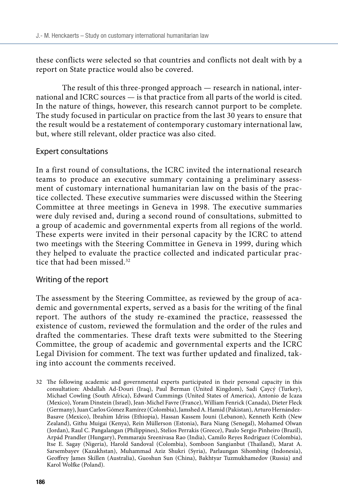these conflicts were selected so that countries and conflicts not dealt with by a report on State practice would also be covered.

The result of this three-pronged approach — research in national, international and ICRC sources — is that practice from all parts of the world is cited. In the nature of things, however, this research cannot purport to be complete. The study focused in particular on practice from the last 30 years to ensure that the result would be a restatement of contemporary customary international law, but, where still relevant, older practice was also cited.

### Expert consultations

In a first round of consultations, the ICRC invited the international research teams to produce an executive summary containing a preliminary assessment of customary international humanitarian law on the basis of the practice collected. These executive summaries were discussed within the Steering Committee at three meetings in Geneva in 1998. The executive summaries were duly revised and, during a second round of consultations, submitted to a group of academic and governmental experts from all regions of the world. These experts were invited in their personal capacity by the ICRC to attend two meetings with the Steering Committee in Geneva in 1999, during which they helped to evaluate the practice collected and indicated particular practice that had been missed.32

### Writing of the report

The assessment by the Steering Committee, as reviewed by the group of academic and governmental experts, served as a basis for the writing of the final report. The authors of the study re-examined the practice, reassessed the existence of custom, reviewed the formulation and the order of the rules and drafted the commentaries. These draft texts were submitted to the Steering Committee, the group of academic and governmental experts and the ICRC Legal Division for comment. The text was further updated and finalized, taking into account the comments received.

32 The following academic and governmental experts participated in their personal capacity in this consultation: Abdallah Ad-Douri (Iraq), Paul Berman (United Kingdom), Sadi Çaycý (Turkey), Michael Cowling (South Africa), Edward Cummings (United States of America), Antonio de Icaza (Mexico), Yoram Dinstein (Israel), Jean-Michel Favre (France), William Fenrick (Canada), Dieter Fleck (Germany), Juan Carlos Gómez Ramírez (Colombia), Jamshed A. Hamid (Pakistan), Arturo Hernández-Basave (Mexico), Ibrahim Idriss (Ethiopia), Hassan Kassem Jouni (Lebanon), Kenneth Keith (New Zealand), Githu Muigai (Kenya), Rein Müllerson (Estonia), Bara Niang (Senegal), Mohamed Olwan (Jordan), Raul C. Pangalangan (Philippines), Stelios Perrakis (Greece), Paulo Sergio Pinheiro (Brazil), Arpád Prandler (Hungary), Pemmaraju Sreenivasa Rao (India), Camilo Reyes Rodríguez (Colombia), Itse E. Sagay (Nigeria), Harold Sandoval (Colombia), Somboon Sangianbut (Thailand), Marat A. Sarsembayev (Kazakhstan), Muhammad Aziz Shukri (Syria), Parlaungan Sihombing (Indonesia), Geoffrey James Skillen (Australia), Guoshun Sun (China), Bakhtyar Tuzmukhamedov (Russia) and Karol Wolfke (Poland).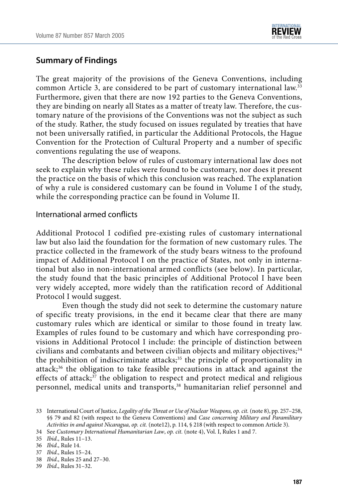

#### **Summary of Findings**

The great majority of the provisions of the Geneva Conventions, including common Article 3, are considered to be part of customary international law.<sup>33</sup> Furthermore, given that there are now 192 parties to the Geneva Conventions, they are binding on nearly all States as a matter of treaty law. Therefore, the customary nature of the provisions of the Conventions was not the subject as such of the study. Rather, the study focused on issues regulated by treaties that have not been universally ratified, in particular the Additional Protocols, the Hague Convention for the Protection of Cultural Property and a number of specific conventions regulating the use of weapons.

The description below of rules of customary international law does not seek to explain why these rules were found to be customary, nor does it present the practice on the basis of which this conclusion was reached. The explanation of why a rule is considered customary can be found in Volume I of the study, while the corresponding practice can be found in Volume II.

#### International armed conflicts

Additional Protocol I codified pre-existing rules of customary international law but also laid the foundation for the formation of new customary rules. The practice collected in the framework of the study bears witness to the profound impact of Additional Protocol I on the practice of States, not only in international but also in non-international armed conflicts (see below). In particular, the study found that the basic principles of Additional Protocol I have been very widely accepted, more widely than the ratification record of Additional Protocol I would suggest.

Even though the study did not seek to determine the customary nature of specific treaty provisions, in the end it became clear that there are many customary rules which are identical or similar to those found in treaty law. Examples of rules found to be customary and which have corresponding provisions in Additional Protocol I include: the principle of distinction between civilians and combatants and between civilian objects and military objectives;<sup>34</sup> the prohibition of indiscriminate attacks;<sup>35</sup> the principle of proportionality in attack;36 the obligation to take feasible precautions in attack and against the effects of attack;<sup>37</sup> the obligation to respect and protect medical and religious personnel, medical units and transports,<sup>38</sup> humanitarian relief personnel and

<sup>33</sup> International Court of Justice, *Legality of the Threat or Use of Nuclear Weapons, op. cit.* (note 8), pp. 257–258, §§ 79 and 82 (with respect to the Geneva Conventions) and *Case concerning Military and Paramilitary Activities in and against Nicaragua, op. cit.* (note12), p. 114, § 218 (with respect to common Article 3).

<sup>34</sup> See *Customary International Humanitarian Law*, *op. cit.* (note 4), Vol. I, Rules 1 and 7.

<sup>35</sup> *Ibid*., Rules 11–13.

<sup>36</sup> *Ibid*., Rule 14.

<sup>37</sup> *Ibid*., Rules 15–24.

<sup>38</sup> *Ibid*., Rules 25 and 27–30.

<sup>39</sup> *Ibid*., Rules 31–32.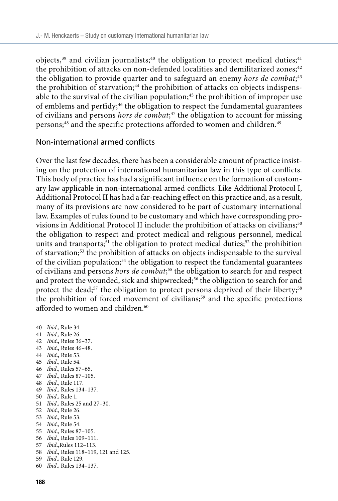objects, $39$  and civilian journalists; $40$  the obligation to protect medical duties; $41$ the prohibition of attacks on non-defended localities and demilitarized zones;<sup>42</sup> the obligation to provide quarter and to safeguard an enemy *hors de combat*; 43 the prohibition of starvation;<sup>44</sup> the prohibition of attacks on objects indispensable to the survival of the civilian population;<sup>45</sup> the prohibition of improper use of emblems and perfidy;<sup>46</sup> the obligation to respect the fundamental guarantees of civilians and persons *hors de combat*; 47 the obligation to account for missing persons;<sup>48</sup> and the specific protections afforded to women and children.<sup>49</sup>

#### Non-international armed conflicts

Over the last few decades, there has been a considerable amount of practice insisting on the protection of international humanitarian law in this type of conflicts. This body of practice has had a significant influence on the formation of customary law applicable in non-international armed conflicts. Like Additional Protocol I, Additional Protocol II has had a far-reaching effect on this practice and, as a result, many of its provisions are now considered to be part of customary international law. Examples of rules found to be customary and which have corresponding provisions in Additional Protocol II include: the prohibition of attacks on civilians;<sup>50</sup> the obligation to respect and protect medical and religious personnel, medical units and transports;<sup>51</sup> the obligation to protect medical duties;<sup>52</sup> the prohibition of starvation;53 the prohibition of attacks on objects indispensable to the survival of the civilian population;54 the obligation to respect the fundamental guarantees of civilians and persons *hors de combat*; 55 the obligation to search for and respect and protect the wounded, sick and shipwrecked;<sup>56</sup> the obligation to search for and protect the dead;<sup>57</sup> the obligation to protect persons deprived of their liberty;<sup>58</sup> the prohibition of forced movement of civilians;<sup>59</sup> and the specific protections afforded to women and children.<sup>60</sup>

*Ibid*., Rule 34. *Ibid*., Rule 26. *Ibid*., Rules 36–37. *Ibid*., Rules 46–48. *Ibid*., Rule 53. *Ibid*., Rule 54. *Ibid*., Rules 57–65. *Ibid*., Rules 87–105. *Ibid*., Rule 117. *Ibid*., Rules 134–137. *Ibid*., Rule 1. *Ibid*., Rules 25 and 27–30. *Ibid*., Rule 26. *Ibid*., Rule 53. *Ibid*., Rule 54. *Ibid*., Rules 87–105. *Ibid*., Rules 109–111. *Ibid*.,Rules 112–113. *Ibid*., Rules 118–119, 121 and 125. *Ibid*., Rule 129. *Ibid*., Rules 134–137.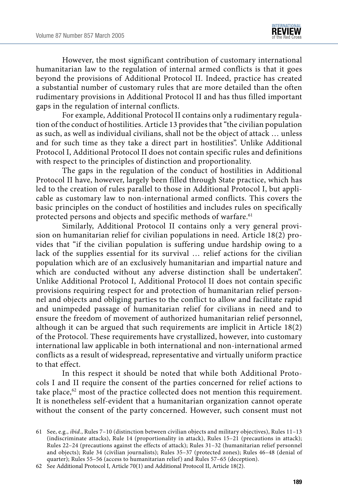

However, the most significant contribution of customary international humanitarian law to the regulation of internal armed conflicts is that it goes beyond the provisions of Additional Protocol II. Indeed, practice has created a substantial number of customary rules that are more detailed than the often rudimentary provisions in Additional Protocol II and has thus filled important gaps in the regulation of internal conflicts.

For example, Additional Protocol II contains only a rudimentary regulation of the conduct of hostilities. Article 13 provides that "the civilian population as such, as well as individual civilians, shall not be the object of attack … unless and for such time as they take a direct part in hostilities". Unlike Additional Protocol I, Additional Protocol II does not contain specific rules and definitions with respect to the principles of distinction and proportionality.

The gaps in the regulation of the conduct of hostilities in Additional Protocol II have, however, largely been filled through State practice, which has led to the creation of rules parallel to those in Additional Protocol I, but applicable as customary law to non-international armed conflicts. This covers the basic principles on the conduct of hostilities and includes rules on specifically protected persons and objects and specific methods of warfare.<sup>61</sup>

Similarly, Additional Protocol II contains only a very general provision on humanitarian relief for civilian populations in need. Article 18(2) provides that "if the civilian population is suffering undue hardship owing to a lack of the supplies essential for its survival … relief actions for the civilian population which are of an exclusively humanitarian and impartial nature and which are conducted without any adverse distinction shall be undertaken". Unlike Additional Protocol I, Additional Protocol II does not contain specific provisions requiring respect for and protection of humanitarian relief personnel and objects and obliging parties to the conflict to allow and facilitate rapid and unimpeded passage of humanitarian relief for civilians in need and to ensure the freedom of movement of authorized humanitarian relief personnel, although it can be argued that such requirements are implicit in Article 18(2) of the Protocol. These requirements have crystallized, however, into customary international law applicable in both international and non-international armed conflicts as a result of widespread, representative and virtually uniform practice to that effect.

In this respect it should be noted that while both Additional Protocols I and II require the consent of the parties concerned for relief actions to take place,<sup>62</sup> most of the practice collected does not mention this requirement. It is nonetheless self-evident that a humanitarian organization cannot operate without the consent of the party concerned. However, such consent must not

<sup>61</sup> See, e.g., *ibid*., Rules 7–10 (distinction between civilian objects and military objectives), Rules 11–13 (indiscriminate attacks), Rule 14 (proportionality in attack), Rules 15–21 (precautions in attack); Rules 22–24 (precautions against the effects of attack); Rules 31–32 (humanitarian relief personnel and objects); Rule 34 (civilian journalists); Rules 35–37 (protected zones); Rules 46–48 (denial of quarter); Rules 55–56 (access to humanitarian relief) and Rules 57–65 (deception).

<sup>62</sup> See Additional Protocol I, Article 70(1) and Additional Protocol II, Article 18(2).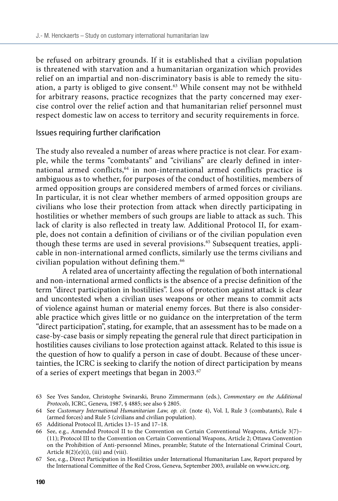be refused on arbitrary grounds. If it is established that a civilian population is threatened with starvation and a humanitarian organization which provides relief on an impartial and non-discriminatory basis is able to remedy the situation, a party is obliged to give consent.63 While consent may not be withheld for arbitrary reasons, practice recognizes that the party concerned may exercise control over the relief action and that humanitarian relief personnel must respect domestic law on access to territory and security requirements in force.

#### Issues requiring further clarification

The study also revealed a number of areas where practice is not clear. For example, while the terms "combatants" and "civilians" are clearly defined in international armed conflicts,<sup>64</sup> in non-international armed conflicts practice is ambiguous as to whether, for purposes of the conduct of hostilities, members of armed opposition groups are considered members of armed forces or civilians. In particular, it is not clear whether members of armed opposition groups are civilians who lose their protection from attack when directly participating in hostilities or whether members of such groups are liable to attack as such. This lack of clarity is also reflected in treaty law. Additional Protocol II, for example, does not contain a definition of civilians or of the civilian population even though these terms are used in several provisions.<sup>65</sup> Subsequent treaties, applicable in non-international armed conflicts, similarly use the terms civilians and civilian population without defining them.<sup>66</sup>

A related area of uncertainty affecting the regulation of both international and non-international armed conflicts is the absence of a precise definition of the term "direct participation in hostilities". Loss of protection against attack is clear and uncontested when a civilian uses weapons or other means to commit acts of violence against human or material enemy forces. But there is also considerable practice which gives little or no guidance on the interpretation of the term "direct participation", stating, for example, that an assessment has to be made on a case-by-case basis or simply repeating the general rule that direct participation in hostilities causes civilians to lose protection against attack. Related to this issue is the question of how to qualify a person in case of doubt. Because of these uncertainties, the ICRC is seeking to clarify the notion of direct participation by means of a series of expert meetings that began in 2003.<sup>67</sup>

<sup>63</sup> See Yves Sandoz, Christophe Swinarski, Bruno Zimmermann (eds.), *Commentary on the Additional Protocols*, ICRC, Geneva, 1987, § 4885; see also § 2805.

<sup>64</sup> See *Customary International Humanitarian Law, op. cit.* (note 4), Vol. I, Rule 3 (combatants), Rule 4 (armed forces) and Rule 5 (civilians and civilian population).

<sup>65</sup> Additional Protocol II, Articles 13–15 and 17–18.

<sup>66</sup> See, e.g., Amended Protocol II to the Convention on Certain Conventional Weapons, Article 3(7)– (11); Protocol III to the Convention on Certain Conventional Weapons, Article 2; Ottawa Convention on the Prohibition of Anti-personnel Mines, preamble; Statute of the International Criminal Court, Article  $8(2)(e)(i)$ , (iii) and (viii).

<sup>67</sup> See, e.g., Direct Participation in Hostilities under International Humanitarian Law, Report prepared by the International Committee of the Red Cross, Geneva, September 2003, available on www.icrc.org.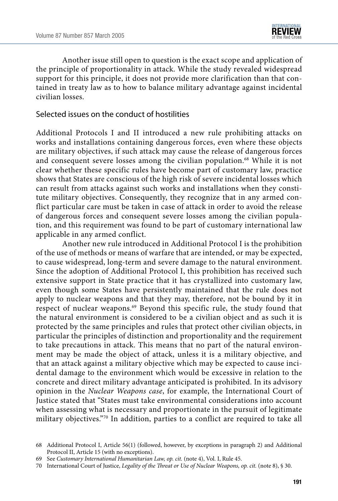

Another issue still open to question is the exact scope and application of the principle of proportionality in attack. While the study revealed widespread support for this principle, it does not provide more clarification than that contained in treaty law as to how to balance military advantage against incidental civilian losses.

#### Selected issues on the conduct of hostilities

Additional Protocols I and II introduced a new rule prohibiting attacks on works and installations containing dangerous forces, even where these objects are military objectives, if such attack may cause the release of dangerous forces and consequent severe losses among the civilian population.<sup>68</sup> While it is not clear whether these specific rules have become part of customary law, practice shows that States are conscious of the high risk of severe incidental losses which can result from attacks against such works and installations when they constitute military objectives. Consequently, they recognize that in any armed conflict particular care must be taken in case of attack in order to avoid the release of dangerous forces and consequent severe losses among the civilian population, and this requirement was found to be part of customary international law applicable in any armed conflict.

Another new rule introduced in Additional Protocol I is the prohibition of the use of methods or means of warfare that are intended, or may be expected, to cause widespread, long-term and severe damage to the natural environment. Since the adoption of Additional Protocol I, this prohibition has received such extensive support in State practice that it has crystallized into customary law, even though some States have persistently maintained that the rule does not apply to nuclear weapons and that they may, therefore, not be bound by it in respect of nuclear weapons.<sup>69</sup> Beyond this specific rule, the study found that the natural environment is considered to be a civilian object and as such it is protected by the same principles and rules that protect other civilian objects, in particular the principles of distinction and proportionality and the requirement to take precautions in attack. This means that no part of the natural environment may be made the object of attack, unless it is a military objective, and that an attack against a military objective which may be expected to cause incidental damage to the environment which would be excessive in relation to the concrete and direct military advantage anticipated is prohibited. In its advisory opinion in the *Nuclear Weapons case*, for example, the International Court of Justice stated that "States must take environmental considerations into account when assessing what is necessary and proportionate in the pursuit of legitimate military objectives."70 In addition, parties to a conflict are required to take all

<sup>68</sup> Additional Protocol I, Article 56(1) (followed, however, by exceptions in paragraph 2) and Additional Protocol II, Article 15 (with no exceptions).

<sup>69</sup> See *Customary International Humanitarian Law, op. cit.* (note 4), Vol. I, Rule 45.

<sup>70</sup> International Court of Justice, *Legality of the Threat or Use of Nuclear Weapons, op. cit.* (note 8), § 30.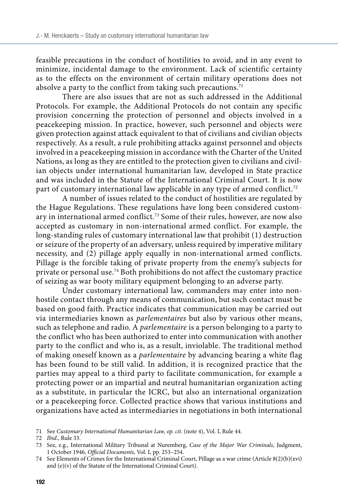feasible precautions in the conduct of hostilities to avoid, and in any event to minimize, incidental damage to the environment. Lack of scientific certainty as to the effects on the environment of certain military operations does not absolve a party to the conflict from taking such precautions.<sup>71</sup>

There are also issues that are not as such addressed in the Additional Protocols. For example, the Additional Protocols do not contain any specific provision concerning the protection of personnel and objects involved in a peacekeeping mission. In practice, however, such personnel and objects were given protection against attack equivalent to that of civilians and civilian objects respectively. As a result, a rule prohibiting attacks against personnel and objects involved in a peacekeeping mission in accordance with the Charter of the United Nations, as long as they are entitled to the protection given to civilians and civilian objects under international humanitarian law, developed in State practice and was included in the Statute of the International Criminal Court. It is now part of customary international law applicable in any type of armed conflict.<sup>72</sup>

A number of issues related to the conduct of hostilities are regulated by the Hague Regulations. These regulations have long been considered customary in international armed conflict.73 Some of their rules, however, are now also accepted as customary in non-international armed conflict. For example, the long-standing rules of customary international law that prohibit (1) destruction or seizure of the property of an adversary, unless required by imperative military necessity, and (2) pillage apply equally in non-international armed conflicts. Pillage is the forcible taking of private property from the enemy's subjects for private or personal use.<sup>74</sup> Both prohibitions do not affect the customary practice of seizing as war booty military equipment belonging to an adverse party.

Under customary international law, commanders may enter into nonhostile contact through any means of communication, but such contact must be based on good faith. Practice indicates that communication may be carried out via intermediaries known as *parlementaires* but also by various other means, such as telephone and radio. A *parlementaire* is a person belonging to a party to the conflict who has been authorized to enter into communication with another party to the conflict and who is, as a result, inviolable. The traditional method of making oneself known as a *parlementaire* by advancing bearing a white flag has been found to be still valid. In addition, it is recognized practice that the parties may appeal to a third party to facilitate communication, for example a protecting power or an impartial and neutral humanitarian organization acting as a substitute, in particular the ICRC, but also an international organization or a peacekeeping force. Collected practice shows that various institutions and organizations have acted as intermediaries in negotiations in both international

<sup>71</sup> See *Customary International Humanitarian Law, op. cit.* (note 4), Vol. I, Rule 44.

<sup>72</sup> *Ibid*., Rule 33.

<sup>73</sup> See, e.g., International Military Tribunal at Nuremberg, *Case of the Major War Criminals*, Judgment, 1 October 1946, *Official Documents*, Vol. I, pp. 253–254.

<sup>74</sup> See Elements of Crimes for the International Criminal Court, Pillage as a war crime (Article 8(2)(b)(xvi) and (e)(v) of the Statute of the International Criminal Court).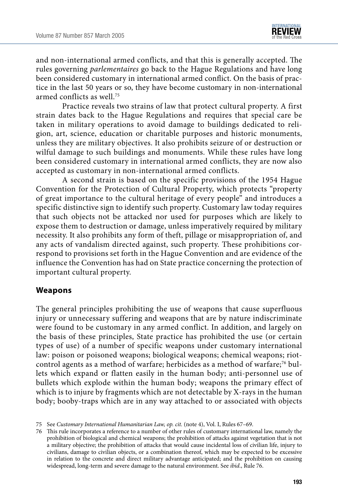and non-international armed conflicts, and that this is generally accepted. The rules governing *parlementaires* go back to the Hague Regulations and have long been considered customary in international armed conflict. On the basis of practice in the last 50 years or so, they have become customary in non-international armed conflicts as well.75

Practice reveals two strains of law that protect cultural property. A first strain dates back to the Hague Regulations and requires that special care be taken in military operations to avoid damage to buildings dedicated to religion, art, science, education or charitable purposes and historic monuments, unless they are military objectives. It also prohibits seizure of or destruction or wilful damage to such buildings and monuments. While these rules have long been considered customary in international armed conflicts, they are now also accepted as customary in non-international armed conflicts.

A second strain is based on the specific provisions of the 1954 Hague Convention for the Protection of Cultural Property, which protects "property of great importance to the cultural heritage of every people" and introduces a specific distinctive sign to identify such property. Customary law today requires that such objects not be attacked nor used for purposes which are likely to expose them to destruction or damage, unless imperatively required by military necessity. It also prohibits any form of theft, pillage or misappropriation of, and any acts of vandalism directed against, such property. These prohibitions correspond to provisions set forth in the Hague Convention and are evidence of the influence the Convention has had on State practice concerning the protection of important cultural property.

#### **Weapons**

The general principles prohibiting the use of weapons that cause superfluous injury or unnecessary suffering and weapons that are by nature indiscriminate were found to be customary in any armed conflict. In addition, and largely on the basis of these principles, State practice has prohibited the use (or certain types of use) of a number of specific weapons under customary international law: poison or poisoned weapons; biological weapons; chemical weapons; riotcontrol agents as a method of warfare; herbicides as a method of warfare;<sup>76</sup> bullets which expand or flatten easily in the human body; anti-personnel use of bullets which explode within the human body; weapons the primary effect of which is to injure by fragments which are not detectable by X-rays in the human body; booby-traps which are in any way attached to or associated with objects

<sup>75</sup> See *Customary International Humanitarian Law, op. cit.* (note 4), Vol. I, Rules 67–69.

<sup>76</sup> This rule incorporates a reference to a number of other rules of customary international law, namely the prohibition of biological and chemical weapons; the prohibition of attacks against vegetation that is not a military objective; the prohibition of attacks that would cause incidental loss of civilian life, injury to civilians, damage to civilian objects, or a combination thereof, which may be expected to be excessive in relation to the concrete and direct military advantage anticipated; and the prohibition on causing widespread, long-term and severe damage to the natural environment. See *ibid*., Rule 76.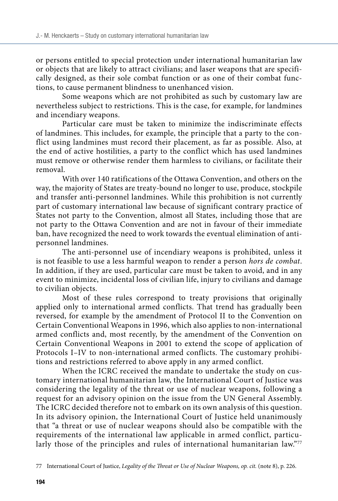or persons entitled to special protection under international humanitarian law or objects that are likely to attract civilians; and laser weapons that are specifically designed, as their sole combat function or as one of their combat functions, to cause permanent blindness to unenhanced vision.

Some weapons which are not prohibited as such by customary law are nevertheless subject to restrictions. This is the case, for example, for landmines and incendiary weapons.

Particular care must be taken to minimize the indiscriminate effects of landmines. This includes, for example, the principle that a party to the conflict using landmines must record their placement, as far as possible. Also, at the end of active hostilities, a party to the conflict which has used landmines must remove or otherwise render them harmless to civilians, or facilitate their removal.

With over 140 ratifications of the Ottawa Convention, and others on the way, the majority of States are treaty-bound no longer to use, produce, stockpile and transfer anti-personnel landmines. While this prohibition is not currently part of customary international law because of significant contrary practice of States not party to the Convention, almost all States, including those that are not party to the Ottawa Convention and are not in favour of their immediate ban, have recognized the need to work towards the eventual elimination of antipersonnel landmines.

The anti-personnel use of incendiary weapons is prohibited, unless it is not feasible to use a less harmful weapon to render a person *hors de combat*. In addition, if they are used, particular care must be taken to avoid, and in any event to minimize, incidental loss of civilian life, injury to civilians and damage to civilian objects.

Most of these rules correspond to treaty provisions that originally applied only to international armed conflicts. That trend has gradually been reversed, for example by the amendment of Protocol II to the Convention on Certain Conventional Weapons in 1996, which also applies to non-international armed conflicts and, most recently, by the amendment of the Convention on Certain Conventional Weapons in 2001 to extend the scope of application of Protocols I–IV to non-international armed conflicts. The customary prohibitions and restrictions referred to above apply in any armed conflict.

When the ICRC received the mandate to undertake the study on customary international humanitarian law, the International Court of Justice was considering the legality of the threat or use of nuclear weapons, following a request for an advisory opinion on the issue from the UN General Assembly. The ICRC decided therefore not to embark on its own analysis of this question. In its advisory opinion, the International Court of Justice held unanimously that "a threat or use of nuclear weapons should also be compatible with the requirements of the international law applicable in armed conflict, particularly those of the principles and rules of international humanitarian law."77

<sup>77</sup> International Court of Justice, *Legality of the Threat or Use of Nuclear Weapons, op. cit.* (note 8), p. 226.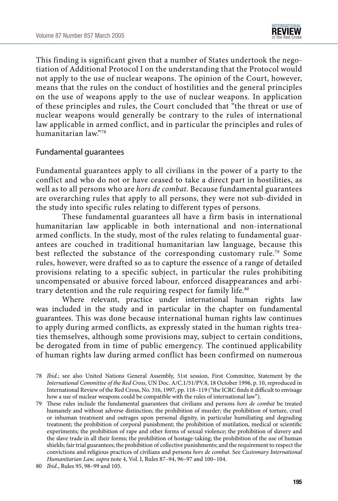

This finding is significant given that a number of States undertook the negotiation of Additional Protocol I on the understanding that the Protocol would not apply to the use of nuclear weapons. The opinion of the Court, however, means that the rules on the conduct of hostilities and the general principles on the use of weapons apply to the use of nuclear weapons. In application of these principles and rules, the Court concluded that "the threat or use of nuclear weapons would generally be contrary to the rules of international law applicable in armed conflict, and in particular the principles and rules of humanitarian law."78

#### Fundamental guarantees

Fundamental guarantees apply to all civilians in the power of a party to the conflict and who do not or have ceased to take a direct part in hostilities, as well as to all persons who are *hors de combat*. Because fundamental guarantees are overarching rules that apply to all persons, they were not sub-divided in the study into specific rules relating to different types of persons.

These fundamental guarantees all have a firm basis in international humanitarian law applicable in both international and non-international armed conflicts. In the study, most of the rules relating to fundamental guarantees are couched in traditional humanitarian law language, because this best reflected the substance of the corresponding customary rule.<sup>79</sup> Some rules, however, were drafted so as to capture the essence of a range of detailed provisions relating to a specific subject, in particular the rules prohibiting uncompensated or abusive forced labour, enforced disappearances and arbitrary detention and the rule requiring respect for family life.<sup>80</sup>

Where relevant, practice under international human rights law was included in the study and in particular in the chapter on fundamental guarantees. This was done because international human rights law continues to apply during armed conflicts, as expressly stated in the human rights treaties themselves, although some provisions may, subject to certain conditions, be derogated from in time of public emergency. The continued applicability of human rights law during armed conflict has been confirmed on numerous

- 78 *Ibid*.; see also United Nations General Assembly, 51st session, First Committee, Statement by the *International Committee of the Red Cross*, UN Doc. A/C.1/51/PV.8, 18 October 1996, p. 10, reproduced in International Review of the Red Cross, No. 316, 1997, pp. 118–119 ("the ICRC finds it difficult to envisage how a use of nuclear weapons could be compatible with the rules of international law").
- 79 These rules include the fundamental guarantees that civilians and persons *hors de combat* be treated humanely and without adverse distinction; the prohibition of murder; the prohibition of torture, cruel or inhuman treatment and outrages upon personal dignity, in particular humiliating and degrading treatment; the prohibition of corporal punishment; the prohibition of mutilation, medical or scientific experiments; the prohibition of rape and other forms of sexual violence; the prohibition of slavery and the slave trade in all their forms; the prohibition of hostage-taking; the prohibition of the use of human shields; fair trial guarantees; the prohibition of collective punishments; and the requirement to respect the convictions and religious practices of civilians and persons *hors de combat*. See *Customary International Humanitarian Law, supra* note 4, Vol. I, Rules 87–94, 96–97 and 100–104.

80 *Ibid*., Rules 95, 98–99 and 105.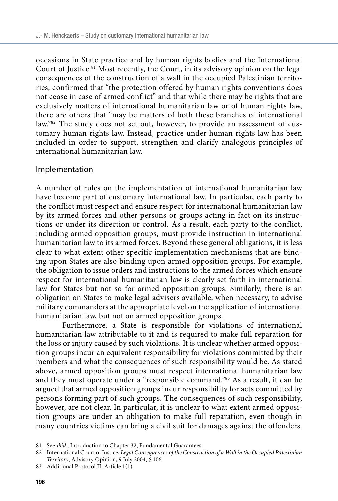occasions in State practice and by human rights bodies and the International Court of Justice.<sup>81</sup> Most recently, the Court, in its advisory opinion on the legal consequences of the construction of a wall in the occupied Palestinian territories, confirmed that "the protection offered by human rights conventions does not cease in case of armed conflict" and that while there may be rights that are exclusively matters of international humanitarian law or of human rights law, there are others that "may be matters of both these branches of international law."82 The study does not set out, however, to provide an assessment of customary human rights law. Instead, practice under human rights law has been included in order to support, strengthen and clarify analogous principles of international humanitarian law.

#### Implementation

A number of rules on the implementation of international humanitarian law have become part of customary international law. In particular, each party to the conflict must respect and ensure respect for international humanitarian law by its armed forces and other persons or groups acting in fact on its instructions or under its direction or control. As a result, each party to the conflict, including armed opposition groups, must provide instruction in international humanitarian law to its armed forces. Beyond these general obligations, it is less clear to what extent other specific implementation mechanisms that are binding upon States are also binding upon armed opposition groups. For example, the obligation to issue orders and instructions to the armed forces which ensure respect for international humanitarian law is clearly set forth in international law for States but not so for armed opposition groups. Similarly, there is an obligation on States to make legal advisers available, when necessary, to advise military commanders at the appropriate level on the application of international humanitarian law, but not on armed opposition groups.

Furthermore, a State is responsible for violations of international humanitarian law attributable to it and is required to make full reparation for the loss or injury caused by such violations. It is unclear whether armed opposition groups incur an equivalent responsibility for violations committed by their members and what the consequences of such responsibility would be. As stated above, armed opposition groups must respect international humanitarian law and they must operate under a "responsible command."83 As a result, it can be argued that armed opposition groups incur responsibility for acts committed by persons forming part of such groups. The consequences of such responsibility, however, are not clear. In particular, it is unclear to what extent armed opposition groups are under an obligation to make full reparation, even though in many countries victims can bring a civil suit for damages against the offenders.

<sup>81</sup> See *ibid*., Introduction to Chapter 32, Fundamental Guarantees.

<sup>82</sup> International Court of Justice, *Legal Consequences of the Construction of a Wall in the Occupied Palestinian Territory*, Advisory Opinion, 9 July 2004, § 106.

<sup>83</sup> Additional Protocol II, Article 1(1).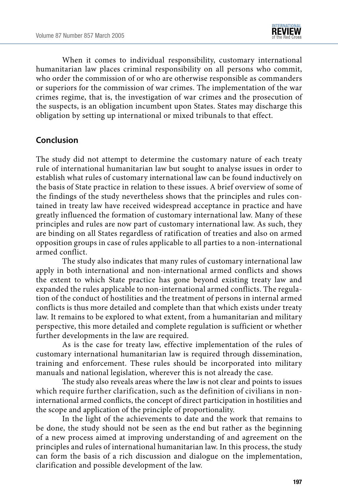

When it comes to individual responsibility, customary international humanitarian law places criminal responsibility on all persons who commit, who order the commission of or who are otherwise responsible as commanders or superiors for the commission of war crimes. The implementation of the war crimes regime, that is, the investigation of war crimes and the prosecution of the suspects, is an obligation incumbent upon States. States may discharge this obligation by setting up international or mixed tribunals to that effect.

# **Conclusion**

The study did not attempt to determine the customary nature of each treaty rule of international humanitarian law but sought to analyse issues in order to establish what rules of customary international law can be found inductively on the basis of State practice in relation to these issues. A brief overview of some of the findings of the study nevertheless shows that the principles and rules contained in treaty law have received widespread acceptance in practice and have greatly influenced the formation of customary international law. Many of these principles and rules are now part of customary international law. As such, they are binding on all States regardless of ratification of treaties and also on armed opposition groups in case of rules applicable to all parties to a non-international armed conflict.

The study also indicates that many rules of customary international law apply in both international and non-international armed conflicts and shows the extent to which State practice has gone beyond existing treaty law and expanded the rules applicable to non-international armed conflicts. The regulation of the conduct of hostilities and the treatment of persons in internal armed conflicts is thus more detailed and complete than that which exists under treaty law. It remains to be explored to what extent, from a humanitarian and military perspective, this more detailed and complete regulation is sufficient or whether further developments in the law are required.

As is the case for treaty law, effective implementation of the rules of customary international humanitarian law is required through dissemination, training and enforcement. These rules should be incorporated into military manuals and national legislation, wherever this is not already the case.

The study also reveals areas where the law is not clear and points to issues which require further clarification, such as the definition of civilians in noninternational armed conflicts, the concept of direct participation in hostilities and the scope and application of the principle of proportionality.

In the light of the achievements to date and the work that remains to be done, the study should not be seen as the end but rather as the beginning of a new process aimed at improving understanding of and agreement on the principles and rules of international humanitarian law. In this process, the study can form the basis of a rich discussion and dialogue on the implementation, clarification and possible development of the law.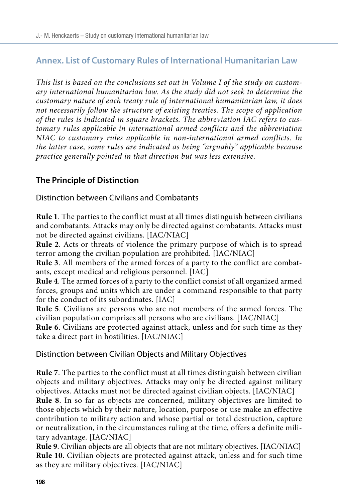# **Annex. List of Customary Rules of International Humanitarian Law**

*This list is based on the conclusions set out in Volume I of the study on customary international humanitarian law. As the study did not seek to determine the customary nature of each treaty rule of international humanitarian law, it does not necessarily follow the structure of existing treaties. The scope of application of the rules is indicated in square brackets. The abbreviation IAC refers to customary rules applicable in international armed conflicts and the abbreviation NIAC to customary rules applicable in non-international armed conflicts. In the latter case, some rules are indicated as being "arguably" applicable because practice generally pointed in that direction but was less extensive.*

# **The Principle of Distinction**

Distinction between Civilians and Combatants

**Rule 1**. The parties to the conflict must at all times distinguish between civilians and combatants. Attacks may only be directed against combatants. Attacks must not be directed against civilians. [IAC/NIAC]

**Rule 2**. Acts or threats of violence the primary purpose of which is to spread terror among the civilian population are prohibited. [IAC/NIAC]

**Rule 3**. All members of the armed forces of a party to the conflict are combatants, except medical and religious personnel. [IAC]

**Rule 4**. The armed forces of a party to the conflict consist of all organized armed forces, groups and units which are under a command responsible to that party for the conduct of its subordinates. [IAC]

**Rule 5**. Civilians are persons who are not members of the armed forces. The civilian population comprises all persons who are civilians. [IAC/NIAC]

**Rule 6**. Civilians are protected against attack, unless and for such time as they take a direct part in hostilities. [IAC/NIAC]

Distinction between Civilian Objects and Military Objectives

**Rule 7**. The parties to the conflict must at all times distinguish between civilian objects and military objectives. Attacks may only be directed against military objectives. Attacks must not be directed against civilian objects. [IAC/NIAC]

**Rule 8**. In so far as objects are concerned, military objectives are limited to those objects which by their nature, location, purpose or use make an effective contribution to military action and whose partial or total destruction, capture or neutralization, in the circumstances ruling at the time, offers a definite military advantage. [IAC/NIAC]

**Rule 9**. Civilian objects are all objects that are not military objectives. [IAC/NIAC] **Rule 10**. Civilian objects are protected against attack, unless and for such time as they are military objectives. [IAC/NIAC]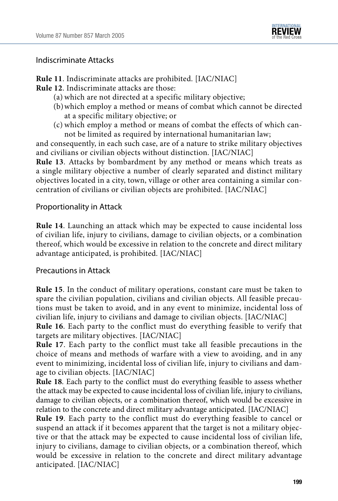

#### Indiscriminate Attacks

**Rule 11**. Indiscriminate attacks are prohibited. [IAC/NIAC]

**Rule 12**. Indiscriminate attacks are those:

- (a) which are not directed at a specific military objective;
- (b) which employ a method or means of combat which cannot be directed at a specific military objective; or
- (c) which employ a method or means of combat the effects of which cannot be limited as required by international humanitarian law;

and consequently, in each such case, are of a nature to strike military objectives and civilians or civilian objects without distinction. [IAC/NIAC]

**Rule 13**. Attacks by bombardment by any method or means which treats as a single military objective a number of clearly separated and distinct military objectives located in a city, town, village or other area containing a similar concentration of civilians or civilian objects are prohibited. [IAC/NIAC]

### Proportionality in Attack

**Rule 14**. Launching an attack which may be expected to cause incidental loss of civilian life, injury to civilians, damage to civilian objects, or a combination thereof, which would be excessive in relation to the concrete and direct military advantage anticipated, is prohibited. [IAC/NIAC]

### Precautions in Attack

**Rule 15**. In the conduct of military operations, constant care must be taken to spare the civilian population, civilians and civilian objects. All feasible precautions must be taken to avoid, and in any event to minimize, incidental loss of civilian life, injury to civilians and damage to civilian objects. [IAC/NIAC]

**Rule 16**. Each party to the conflict must do everything feasible to verify that targets are military objectives. [IAC/NIAC]

**Rule 17**. Each party to the conflict must take all feasible precautions in the choice of means and methods of warfare with a view to avoiding, and in any event to minimizing, incidental loss of civilian life, injury to civilians and damage to civilian objects. [IAC/NIAC]

**Rule 18**. Each party to the conflict must do everything feasible to assess whether the attack may be expected to cause incidental loss of civilian life, injury to civilians, damage to civilian objects, or a combination thereof, which would be excessive in relation to the concrete and direct military advantage anticipated. [IAC/NIAC]

**Rule 19**. Each party to the conflict must do everything feasible to cancel or suspend an attack if it becomes apparent that the target is not a military objective or that the attack may be expected to cause incidental loss of civilian life, injury to civilians, damage to civilian objects, or a combination thereof, which would be excessive in relation to the concrete and direct military advantage anticipated. [IAC/NIAC]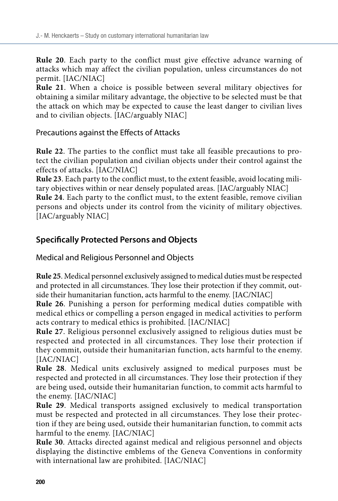**Rule 20**. Each party to the conflict must give effective advance warning of attacks which may affect the civilian population, unless circumstances do not permit. [IAC/NIAC]

**Rule 21**. When a choice is possible between several military objectives for obtaining a similar military advantage, the objective to be selected must be that the attack on which may be expected to cause the least danger to civilian lives and to civilian objects. [IAC/arguably NIAC]

Precautions against the Effects of Attacks

**Rule 22**. The parties to the conflict must take all feasible precautions to protect the civilian population and civilian objects under their control against the effects of attacks. [IAC/NIAC]

**Rule 23**. Each party to the conflict must, to the extent feasible, avoid locating military objectives within or near densely populated areas. [IAC/arguably NIAC]

**Rule 24**. Each party to the conflict must, to the extent feasible, remove civilian persons and objects under its control from the vicinity of military objectives. [IAC/arguably NIAC]

# **Specifically Protected Persons and Objects**

Medical and Religious Personnel and Objects

**Rule 25**. Medical personnel exclusively assigned to medical duties must be respected and protected in all circumstances. They lose their protection if they commit, outside their humanitarian function, acts harmful to the enemy. [IAC/NIAC]

**Rule 26**. Punishing a person for performing medical duties compatible with medical ethics or compelling a person engaged in medical activities to perform acts contrary to medical ethics is prohibited. [IAC/NIAC]

**Rule 27**. Religious personnel exclusively assigned to religious duties must be respected and protected in all circumstances. They lose their protection if they commit, outside their humanitarian function, acts harmful to the enemy. [IAC/NIAC]

**Rule 28**. Medical units exclusively assigned to medical purposes must be respected and protected in all circumstances. They lose their protection if they are being used, outside their humanitarian function, to commit acts harmful to the enemy. [IAC/NIAC]

**Rule 29**. Medical transports assigned exclusively to medical transportation must be respected and protected in all circumstances. They lose their protection if they are being used, outside their humanitarian function, to commit acts harmful to the enemy. [IAC/NIAC]

**Rule 30**. Attacks directed against medical and religious personnel and objects displaying the distinctive emblems of the Geneva Conventions in conformity with international law are prohibited. [IAC/NIAC]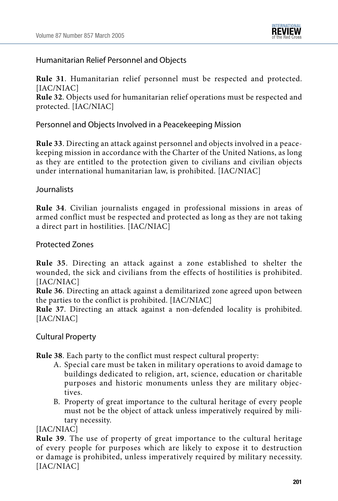

## Humanitarian Relief Personnel and Objects

**Rule 31**. Humanitarian relief personnel must be respected and protected. [IAC/NIAC]

**Rule 32**. Objects used for humanitarian relief operations must be respected and protected. [IAC/NIAC]

Personnel and Objects Involved in a Peacekeeping Mission

**Rule 33**. Directing an attack against personnel and objects involved in a peacekeeping mission in accordance with the Charter of the United Nations, as long as they are entitled to the protection given to civilians and civilian objects under international humanitarian law, is prohibited. [IAC/NIAC]

### Journalists

**Rule 34**. Civilian journalists engaged in professional missions in areas of armed conflict must be respected and protected as long as they are not taking a direct part in hostilities. [IAC/NIAC]

### Protected Zones

**Rule 35**. Directing an attack against a zone established to shelter the wounded, the sick and civilians from the effects of hostilities is prohibited. [IAC/NIAC]

**Rule 36**. Directing an attack against a demilitarized zone agreed upon between the parties to the conflict is prohibited. [IAC/NIAC]

**Rule 37**. Directing an attack against a non-defended locality is prohibited. [IAC/NIAC]

Cultural Property

**Rule 38**. Each party to the conflict must respect cultural property:

- A. Special care must be taken in military operations to avoid damage to buildings dedicated to religion, art, science, education or charitable purposes and historic monuments unless they are military objectives.
- B. Property of great importance to the cultural heritage of every people must not be the object of attack unless imperatively required by military necessity.

### [IAC/NIAC]

**Rule 39**. The use of property of great importance to the cultural heritage of every people for purposes which are likely to expose it to destruction or damage is prohibited, unless imperatively required by military necessity. [IAC/NIAC]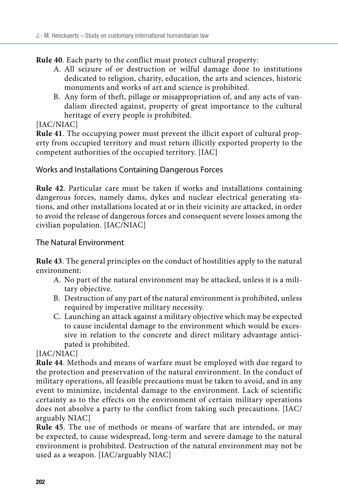**Rule 40**. Each party to the conflict must protect cultural property:

- A. All seizure of or destruction or wilful damage done to institutions dedicated to religion, charity, education, the arts and sciences, historic monuments and works of art and science is prohibited.
- B. Any form of theft, pillage or misappropriation of, and any acts of vandalism directed against, property of great importance to the cultural heritage of every people is prohibited.

### [IAC/NIAC]

**Rule 41**. The occupying power must prevent the illicit export of cultural property from occupied territory and must return illicitly exported property to the competent authorities of the occupied territory. [IAC]

### Works and Installations Containing Dangerous Forces

**Rule 42**. Particular care must be taken if works and installations containing dangerous forces, namely dams, dykes and nuclear electrical generating stations, and other installations located at or in their vicinity are attacked, in order to avoid the release of dangerous forces and consequent severe losses among the civilian population. [IAC/NIAC]

### The Natural Environment

**Rule 43**. The general principles on the conduct of hostilities apply to the natural environment:

- A. No part of the natural environment may be attacked, unless it is a military objective.
- B. Destruction of any part of the natural environment is prohibited, unless required by imperative military necessity.
- C. Launching an attack against a military objective which may be expected to cause incidental damage to the environment which would be excessive in relation to the concrete and direct military advantage anticipated is prohibited.

[IAC/NIAC]

**Rule 44**. Methods and means of warfare must be employed with due regard to the protection and preservation of the natural environment. In the conduct of military operations, all feasible precautions must be taken to avoid, and in any event to minimize, incidental damage to the environment. Lack of scientific certainty as to the effects on the environment of certain military operations does not absolve a party to the conflict from taking such precautions. [IAC/ arguably NIAC]

**Rule 45**. The use of methods or means of warfare that are intended, or may be expected, to cause widespread, long-term and severe damage to the natural environment is prohibited. Destruction of the natural environment may not be used as a weapon. [IAC/arguably NIAC]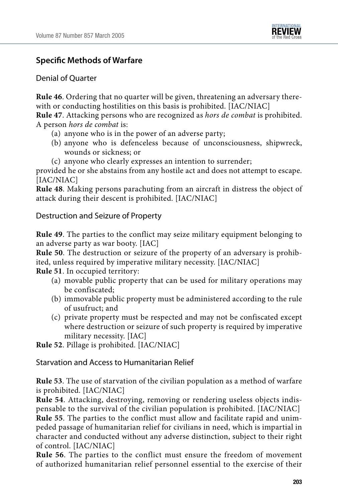

# **Specific Methods of Warfare**

Denial of Quarter

**Rule 46**. Ordering that no quarter will be given, threatening an adversary therewith or conducting hostilities on this basis is prohibited. [IAC/NIAC] **Rule 47**. Attacking persons who are recognized as *hors de combat* is prohibited. A person *hors de combat* is:

- (a) anyone who is in the power of an adverse party;
- (b) anyone who is defenceless because of unconsciousness, shipwreck, wounds or sickness; or
- (c) anyone who clearly expresses an intention to surrender;

provided he or she abstains from any hostile act and does not attempt to escape. [IAC/NIAC]

**Rule 48**. Making persons parachuting from an aircraft in distress the object of attack during their descent is prohibited. [IAC/NIAC]

Destruction and Seizure of Property

**Rule 49**. The parties to the conflict may seize military equipment belonging to an adverse party as war booty. [IAC]

**Rule 50**. The destruction or seizure of the property of an adversary is prohibited, unless required by imperative military necessity. [IAC/NIAC]

**Rule 51**. In occupied territory:

- (a) movable public property that can be used for military operations may be confiscated;
- (b) immovable public property must be administered according to the rule of usufruct; and
- (c) private property must be respected and may not be confiscated except where destruction or seizure of such property is required by imperative military necessity. [IAC]

**Rule 52**. Pillage is prohibited. [IAC/NIAC]

Starvation and Access to Humanitarian Relief

**Rule 53**. The use of starvation of the civilian population as a method of warfare is prohibited. [IAC/NIAC]

**Rule 54**. Attacking, destroying, removing or rendering useless objects indispensable to the survival of the civilian population is prohibited. [IAC/NIAC] **Rule 55**. The parties to the conflict must allow and facilitate rapid and unimpeded passage of humanitarian relief for civilians in need, which is impartial in character and conducted without any adverse distinction, subject to their right of control. [IAC/NIAC]

**Rule 56**. The parties to the conflict must ensure the freedom of movement of authorized humanitarian relief personnel essential to the exercise of their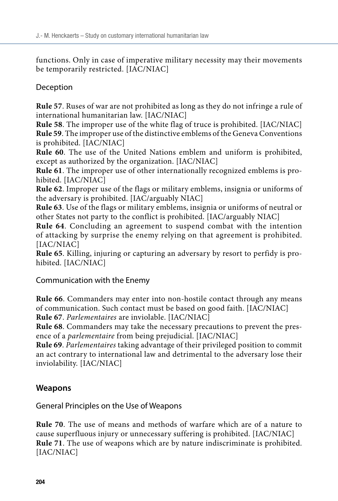functions. Only in case of imperative military necessity may their movements be temporarily restricted. [IAC/NIAC]

# Deception

**Rule 57**. Ruses of war are not prohibited as long as they do not infringe a rule of international humanitarian law. [IAC/NIAC]

**Rule 58**. The improper use of the white flag of truce is prohibited. [IAC/NIAC] **Rule 59**. The improper use of the distinctive emblems of the Geneva Conventions is prohibited. [IAC/NIAC]

**Rule 60**. The use of the United Nations emblem and uniform is prohibited, except as authorized by the organization. [IAC/NIAC]

**Rule 61**. The improper use of other internationally recognized emblems is prohibited. [IAC/NIAC]

**Rule 62**. Improper use of the flags or military emblems, insignia or uniforms of the adversary is prohibited. [IAC/arguably NIAC]

**Rule 63**. Use of the flags or military emblems, insignia or uniforms of neutral or other States not party to the conflict is prohibited. [IAC/arguably NIAC]

**Rule 64**. Concluding an agreement to suspend combat with the intention of attacking by surprise the enemy relying on that agreement is prohibited. [IAC/NIAC]

**Rule 65**. Killing, injuring or capturing an adversary by resort to perfidy is prohibited. [IAC/NIAC]

Communication with the Enemy

**Rule 66**. Commanders may enter into non-hostile contact through any means of communication. Such contact must be based on good faith. [IAC/NIAC]

**Rule 67**. *Parlementaires* are inviolable. [IAC/NIAC]

**Rule 68**. Commanders may take the necessary precautions to prevent the presence of a *parlementaire* from being prejudicial. [IAC/NIAC]

**Rule 69**. *Parlementaires* taking advantage of their privileged position to commit an act contrary to international law and detrimental to the adversary lose their inviolability. [IAC/NIAC]

# **Weapons**

General Principles on the Use of Weapons

**Rule 70**. The use of means and methods of warfare which are of a nature to cause superfluous injury or unnecessary suffering is prohibited. [IAC/NIAC] **Rule 71**. The use of weapons which are by nature indiscriminate is prohibited. [IAC/NIAC]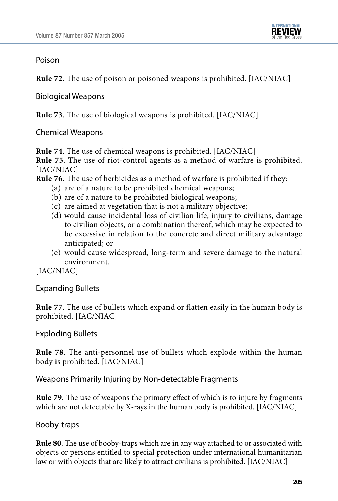

Poison

**Rule 72**. The use of poison or poisoned weapons is prohibited. [IAC/NIAC]

Biological Weapons

**Rule 73**. The use of biological weapons is prohibited. [IAC/NIAC]

Chemical Weapons

**Rule 74**. The use of chemical weapons is prohibited. [IAC/NIAC] **Rule 75**. The use of riot-control agents as a method of warfare is prohibited. [IAC/NIAC]

**Rule 76**. The use of herbicides as a method of warfare is prohibited if they:

- (a) are of a nature to be prohibited chemical weapons;
- (b) are of a nature to be prohibited biological weapons;
- (c) are aimed at vegetation that is not a military objective;
- (d) would cause incidental loss of civilian life, injury to civilians, damage to civilian objects, or a combination thereof, which may be expected to be excessive in relation to the concrete and direct military advantage anticipated; or
- (e) would cause widespread, long-term and severe damage to the natural environment.

[IAC/NIAC]

# Expanding Bullets

**Rule 77**. The use of bullets which expand or flatten easily in the human body is prohibited. [IAC/NIAC]

Exploding Bullets

**Rule 78**. The anti-personnel use of bullets which explode within the human body is prohibited. [IAC/NIAC]

Weapons Primarily Injuring by Non-detectable Fragments

**Rule 79**. The use of weapons the primary effect of which is to injure by fragments which are not detectable by X-rays in the human body is prohibited. [IAC/NIAC]

# Booby-traps

**Rule 80**. The use of booby-traps which are in any way attached to or associated with objects or persons entitled to special protection under international humanitarian law or with objects that are likely to attract civilians is prohibited. [IAC/NIAC]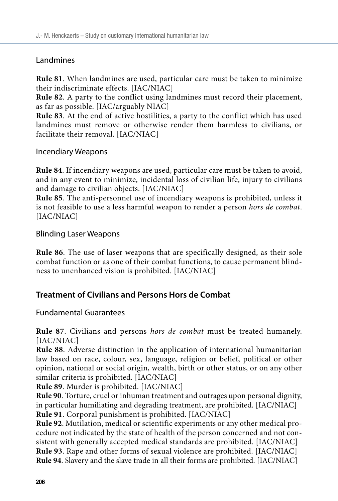### Landmines

**Rule 81**. When landmines are used, particular care must be taken to minimize their indiscriminate effects. [IAC/NIAC]

**Rule 82**. A party to the conflict using landmines must record their placement, as far as possible. [IAC/arguably NIAC]

**Rule 83**. At the end of active hostilities, a party to the conflict which has used landmines must remove or otherwise render them harmless to civilians, or facilitate their removal. [IAC/NIAC]

Incendiary Weapons

**Rule 84**. If incendiary weapons are used, particular care must be taken to avoid, and in any event to minimize, incidental loss of civilian life, injury to civilians and damage to civilian objects. [IAC/NIAC]

**Rule 85**. The anti-personnel use of incendiary weapons is prohibited, unless it is not feasible to use a less harmful weapon to render a person *hors de combat*. [IAC/NIAC]

Blinding Laser Weapons

**Rule 86**. The use of laser weapons that are specifically designed, as their sole combat function or as one of their combat functions, to cause permanent blindness to unenhanced vision is prohibited. [IAC/NIAC]

# **Treatment of Civilians and Persons Hors de Combat**

Fundamental Guarantees

**Rule 87**. Civilians and persons *hors de combat* must be treated humanely. [IAC/NIAC]

**Rule 88**. Adverse distinction in the application of international humanitarian law based on race, colour, sex, language, religion or belief, political or other opinion, national or social origin, wealth, birth or other status, or on any other similar criteria is prohibited. [IAC/NIAC]

**Rule 89**. Murder is prohibited. [IAC/NIAC]

**Rule 90**. Torture, cruel or inhuman treatment and outrages upon personal dignity, in particular humiliating and degrading treatment, are prohibited. [IAC/NIAC] **Rule 91**. Corporal punishment is prohibited. [IAC/NIAC]

**Rule 92**. Mutilation, medical or scientific experiments or any other medical procedure not indicated by the state of health of the person concerned and not consistent with generally accepted medical standards are prohibited. [IAC/NIAC] **Rule 93**. Rape and other forms of sexual violence are prohibited. [IAC/NIAC] **Rule 94**. Slavery and the slave trade in all their forms are prohibited. [IAC/NIAC]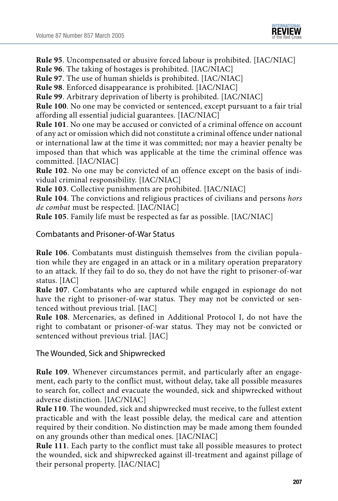

**Rule 95**. Uncompensated or abusive forced labour is prohibited. [IAC/NIAC] **Rule 96**. The taking of hostages is prohibited. [IAC/NIAC]

**Rule 97**. The use of human shields is prohibited. [IAC/NIAC]

**Rule 98**. Enforced disappearance is prohibited. [IAC/NIAC]

**Rule 99**. Arbitrary deprivation of liberty is prohibited. [IAC/NIAC]

**Rule 100**. No one may be convicted or sentenced, except pursuant to a fair trial affording all essential judicial guarantees. [IAC/NIAC]

**Rule 101**. No one may be accused or convicted of a criminal offence on account of any act or omission which did not constitute a criminal offence under national or international law at the time it was committed; nor may a heavier penalty be imposed than that which was applicable at the time the criminal offence was committed. [IAC/NIAC]

**Rule 102**. No one may be convicted of an offence except on the basis of individual criminal responsibility. [IAC/NIAC]

**Rule 103**. Collective punishments are prohibited. [IAC/NIAC]

**Rule 104**. The convictions and religious practices of civilians and persons *hors de combat* must be respected. [IAC/NIAC]

**Rule 105**. Family life must be respected as far as possible. [IAC/NIAC]

Combatants and Prisoner-of-War Status

**Rule 106**. Combatants must distinguish themselves from the civilian population while they are engaged in an attack or in a military operation preparatory to an attack. If they fail to do so, they do not have the right to prisoner-of-war status. [IAC]

**Rule 107**. Combatants who are captured while engaged in espionage do not have the right to prisoner-of-war status. They may not be convicted or sentenced without previous trial. [IAC]

**Rule 108**. Mercenaries, as defined in Additional Protocol I, do not have the right to combatant or prisoner-of-war status. They may not be convicted or sentenced without previous trial. [IAC]

The Wounded, Sick and Shipwrecked

**Rule 109**. Whenever circumstances permit, and particularly after an engagement, each party to the conflict must, without delay, take all possible measures to search for, collect and evacuate the wounded, sick and shipwrecked without adverse distinction. [IAC/NIAC]

**Rule 110**. The wounded, sick and shipwrecked must receive, to the fullest extent practicable and with the least possible delay, the medical care and attention required by their condition. No distinction may be made among them founded on any grounds other than medical ones. [IAC/NIAC]

**Rule 111**. Each party to the conflict must take all possible measures to protect the wounded, sick and shipwrecked against ill-treatment and against pillage of their personal property. [IAC/NIAC]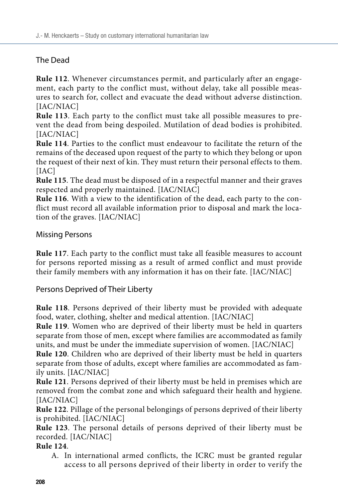# The Dead

**Rule 112**. Whenever circumstances permit, and particularly after an engagement, each party to the conflict must, without delay, take all possible measures to search for, collect and evacuate the dead without adverse distinction. [IAC/NIAC]

**Rule 113**. Each party to the conflict must take all possible measures to prevent the dead from being despoiled. Mutilation of dead bodies is prohibited. [IAC/NIAC]

**Rule 114**. Parties to the conflict must endeavour to facilitate the return of the remains of the deceased upon request of the party to which they belong or upon the request of their next of kin. They must return their personal effects to them. [IAC]

**Rule 115**. The dead must be disposed of in a respectful manner and their graves respected and properly maintained. [IAC/NIAC]

**Rule 116**. With a view to the identification of the dead, each party to the conflict must record all available information prior to disposal and mark the location of the graves. [IAC/NIAC]

# Missing Persons

**Rule 117**. Each party to the conflict must take all feasible measures to account for persons reported missing as a result of armed conflict and must provide their family members with any information it has on their fate. [IAC/NIAC]

Persons Deprived of Their Liberty

**Rule 118**. Persons deprived of their liberty must be provided with adequate food, water, clothing, shelter and medical attention. [IAC/NIAC]

**Rule 119**. Women who are deprived of their liberty must be held in quarters separate from those of men, except where families are accommodated as family units, and must be under the immediate supervision of women. [IAC/NIAC]

**Rule 120**. Children who are deprived of their liberty must be held in quarters separate from those of adults, except where families are accommodated as family units. [IAC/NIAC]

**Rule 121**. Persons deprived of their liberty must be held in premises which are removed from the combat zone and which safeguard their health and hygiene. [IAC/NIAC]

**Rule 122**. Pillage of the personal belongings of persons deprived of their liberty is prohibited. [IAC/NIAC]

**Rule 123**. The personal details of persons deprived of their liberty must be recorded. [IAC/NIAC]

# **Rule 124**.

A. In international armed conflicts, the ICRC must be granted regular access to all persons deprived of their liberty in order to verify the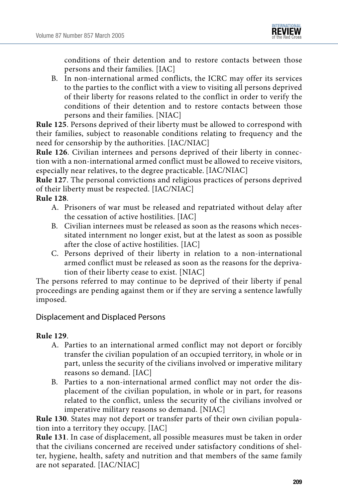

conditions of their detention and to restore contacts between those persons and their families. [IAC]

B. In non-international armed conflicts, the ICRC may offer its services to the parties to the conflict with a view to visiting all persons deprived of their liberty for reasons related to the conflict in order to verify the conditions of their detention and to restore contacts between those persons and their families. [NIAC]

**Rule 125**. Persons deprived of their liberty must be allowed to correspond with their families, subject to reasonable conditions relating to frequency and the need for censorship by the authorities. [IAC/NIAC]

**Rule 126**. Civilian internees and persons deprived of their liberty in connection with a non-international armed conflict must be allowed to receive visitors, especially near relatives, to the degree practicable. [IAC/NIAC]

**Rule 127**. The personal convictions and religious practices of persons deprived of their liberty must be respected. [IAC/NIAC]

### **Rule 128**.

- A. Prisoners of war must be released and repatriated without delay after the cessation of active hostilities. [IAC]
- B. Civilian internees must be released as soon as the reasons which necessitated internment no longer exist, but at the latest as soon as possible after the close of active hostilities. [IAC]
- C. Persons deprived of their liberty in relation to a non-international armed conflict must be released as soon as the reasons for the deprivation of their liberty cease to exist. [NIAC]

The persons referred to may continue to be deprived of their liberty if penal proceedings are pending against them or if they are serving a sentence lawfully imposed.

### Displacement and Displaced Persons

### **Rule 129**.

- A. Parties to an international armed conflict may not deport or forcibly transfer the civilian population of an occupied territory, in whole or in part, unless the security of the civilians involved or imperative military reasons so demand. [IAC]
- B. Parties to a non-international armed conflict may not order the displacement of the civilian population, in whole or in part, for reasons related to the conflict, unless the security of the civilians involved or imperative military reasons so demand. [NIAC]

**Rule 130**. States may not deport or transfer parts of their own civilian population into a territory they occupy. [IAC]

**Rule 131**. In case of displacement, all possible measures must be taken in order that the civilians concerned are received under satisfactory conditions of shelter, hygiene, health, safety and nutrition and that members of the same family are not separated. [IAC/NIAC]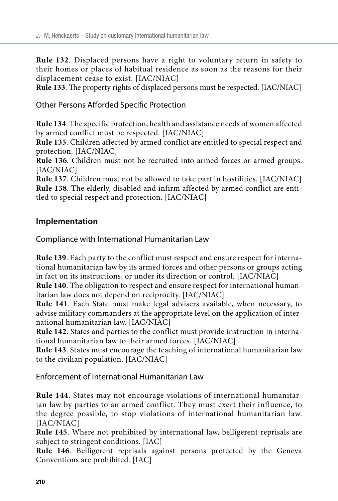**Rule 132**. Displaced persons have a right to voluntary return in safety to their homes or places of habitual residence as soon as the reasons for their displacement cease to exist. [IAC/NIAC]

**Rule 133**. The property rights of displaced persons must be respected. [IAC/NIAC]

Other Persons Afforded Specific Protection

**Rule 134**. The specific protection, health and assistance needs of women affected by armed conflict must be respected. [IAC/NIAC]

**Rule 135**. Children affected by armed conflict are entitled to special respect and protection. [IAC/NIAC]

**Rule 136**. Children must not be recruited into armed forces or armed groups. [IAC/NIAC]

**Rule 137**. Children must not be allowed to take part in hostilities. [IAC/NIAC] **Rule 138**. The elderly, disabled and infirm affected by armed conflict are entitled to special respect and protection. [IAC/NIAC]

# **Implementation**

Compliance with International Humanitarian Law

**Rule 139**. Each party to the conflict must respect and ensure respect for international humanitarian law by its armed forces and other persons or groups acting in fact on its instructions, or under its direction or control. [IAC/NIAC]

**Rule 140**. The obligation to respect and ensure respect for international humanitarian law does not depend on reciprocity. [IAC/NIAC]

**Rule 141**. Each State must make legal advisers available, when necessary, to advise military commanders at the appropriate level on the application of international humanitarian law. [IAC/NIAC]

**Rule 142**. States and parties to the conflict must provide instruction in international humanitarian law to their armed forces. [IAC/NIAC]

**Rule 143**. States must encourage the teaching of international humanitarian law to the civilian population. [IAC/NIAC]

Enforcement of International Humanitarian Law

**Rule 144**. States may not encourage violations of international humanitarian law by parties to an armed conflict. They must exert their influence, to the degree possible, to stop violations of international humanitarian law. [IAC/NIAC]

**Rule 145**. Where not prohibited by international law, belligerent reprisals are subject to stringent conditions. [IAC]

**Rule 146**. Belligerent reprisals against persons protected by the Geneva Conventions are prohibited. [IAC]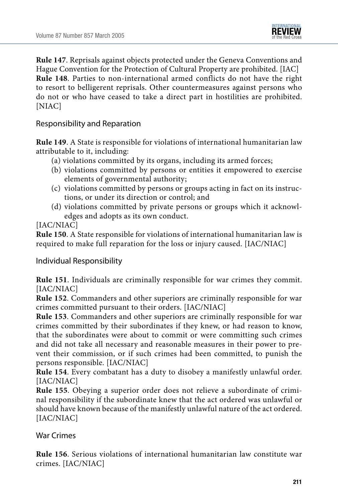

**Rule 147**. Reprisals against objects protected under the Geneva Conventions and Hague Convention for the Protection of Cultural Property are prohibited. [IAC] **Rule 148**. Parties to non-international armed conflicts do not have the right to resort to belligerent reprisals. Other countermeasures against persons who do not or who have ceased to take a direct part in hostilities are prohibited. [NIAC]

Responsibility and Reparation

**Rule 149**. A State is responsible for violations of international humanitarian law attributable to it, including:

- (a) violations committed by its organs, including its armed forces;
- (b) violations committed by persons or entities it empowered to exercise elements of governmental authority;
- (c) violations committed by persons or groups acting in fact on its instructions, or under its direction or control; and
- (d) violations committed by private persons or groups which it acknowledges and adopts as its own conduct.

[IAC/NIAC]

**Rule 150**. A State responsible for violations of international humanitarian law is required to make full reparation for the loss or injury caused. [IAC/NIAC]

Individual Responsibility

**Rule 151**. Individuals are criminally responsible for war crimes they commit. [IAC/NIAC]

**Rule 152**. Commanders and other superiors are criminally responsible for war crimes committed pursuant to their orders. [IAC/NIAC]

**Rule 153**. Commanders and other superiors are criminally responsible for war crimes committed by their subordinates if they knew, or had reason to know, that the subordinates were about to commit or were committing such crimes and did not take all necessary and reasonable measures in their power to prevent their commission, or if such crimes had been committed, to punish the persons responsible. [IAC/NIAC]

**Rule 154**. Every combatant has a duty to disobey a manifestly unlawful order. [IAC/NIAC]

**Rule 155**. Obeying a superior order does not relieve a subordinate of criminal responsibility if the subordinate knew that the act ordered was unlawful or should have known because of the manifestly unlawful nature of the act ordered. [IAC/NIAC]

### War Crimes

**Rule 156**. Serious violations of international humanitarian law constitute war crimes. [IAC/NIAC]